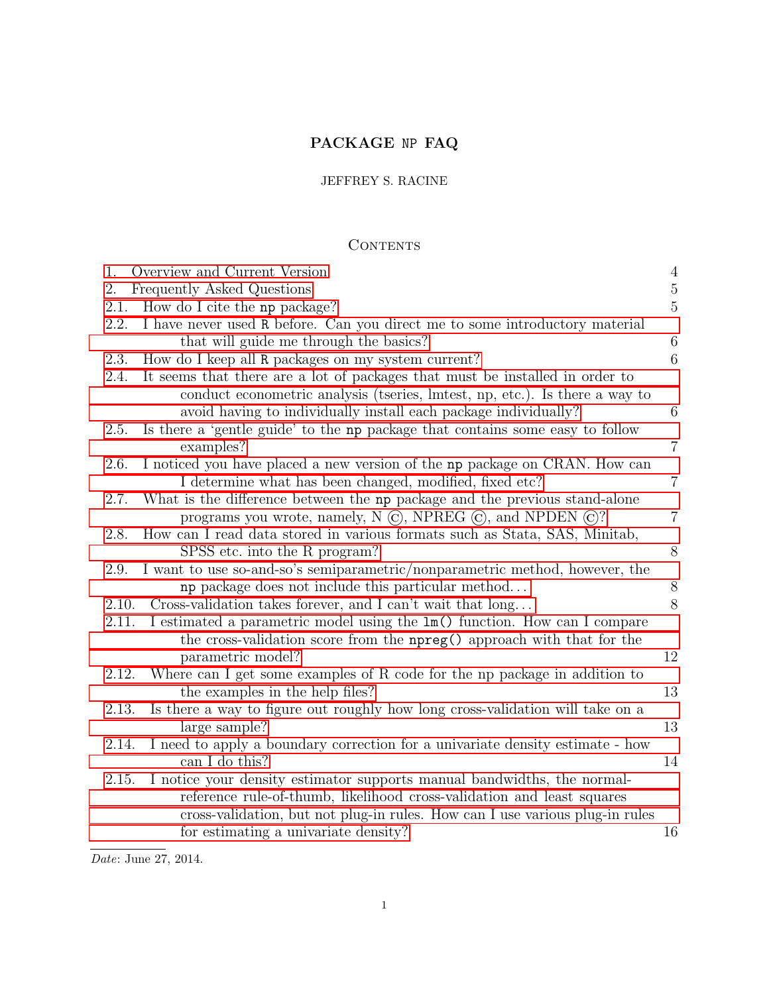# PACKAGE NP FAQ

## JEFFREY S. RACINE

# CONTENTS

| $\overline{4}$                                                                                                                                                                                                                                                                                                                                                                                           |
|----------------------------------------------------------------------------------------------------------------------------------------------------------------------------------------------------------------------------------------------------------------------------------------------------------------------------------------------------------------------------------------------------------|
| $\bf 5$                                                                                                                                                                                                                                                                                                                                                                                                  |
| $\overline{5}$                                                                                                                                                                                                                                                                                                                                                                                           |
|                                                                                                                                                                                                                                                                                                                                                                                                          |
| $\,6$                                                                                                                                                                                                                                                                                                                                                                                                    |
| 6                                                                                                                                                                                                                                                                                                                                                                                                        |
|                                                                                                                                                                                                                                                                                                                                                                                                          |
|                                                                                                                                                                                                                                                                                                                                                                                                          |
| 6                                                                                                                                                                                                                                                                                                                                                                                                        |
|                                                                                                                                                                                                                                                                                                                                                                                                          |
| $\overline{7}$                                                                                                                                                                                                                                                                                                                                                                                           |
|                                                                                                                                                                                                                                                                                                                                                                                                          |
| $\overline{7}$                                                                                                                                                                                                                                                                                                                                                                                           |
|                                                                                                                                                                                                                                                                                                                                                                                                          |
| $\overline{7}$                                                                                                                                                                                                                                                                                                                                                                                           |
|                                                                                                                                                                                                                                                                                                                                                                                                          |
| 8                                                                                                                                                                                                                                                                                                                                                                                                        |
|                                                                                                                                                                                                                                                                                                                                                                                                          |
| $8\,$                                                                                                                                                                                                                                                                                                                                                                                                    |
| 8                                                                                                                                                                                                                                                                                                                                                                                                        |
|                                                                                                                                                                                                                                                                                                                                                                                                          |
|                                                                                                                                                                                                                                                                                                                                                                                                          |
| 12                                                                                                                                                                                                                                                                                                                                                                                                       |
|                                                                                                                                                                                                                                                                                                                                                                                                          |
| 13                                                                                                                                                                                                                                                                                                                                                                                                       |
|                                                                                                                                                                                                                                                                                                                                                                                                          |
| 13                                                                                                                                                                                                                                                                                                                                                                                                       |
|                                                                                                                                                                                                                                                                                                                                                                                                          |
| 14                                                                                                                                                                                                                                                                                                                                                                                                       |
|                                                                                                                                                                                                                                                                                                                                                                                                          |
|                                                                                                                                                                                                                                                                                                                                                                                                          |
| cross-validation, but not plug-in rules. How can I use various plug-in rules                                                                                                                                                                                                                                                                                                                             |
| 16                                                                                                                                                                                                                                                                                                                                                                                                       |
| conduct econometric analysis (tseries, lmtest, np, etc.). Is there a way to<br>I noticed you have placed a new version of the np package on CRAN. How can<br>I want to use so-and-so's semiparametric/nonparametric method, however, the<br>I estimated a parametric model using the $lm()$ function. How can I compare<br>I need to apply a boundary correction for a univariate density estimate - how |

 $\overline{Date:$  June 27, 2014.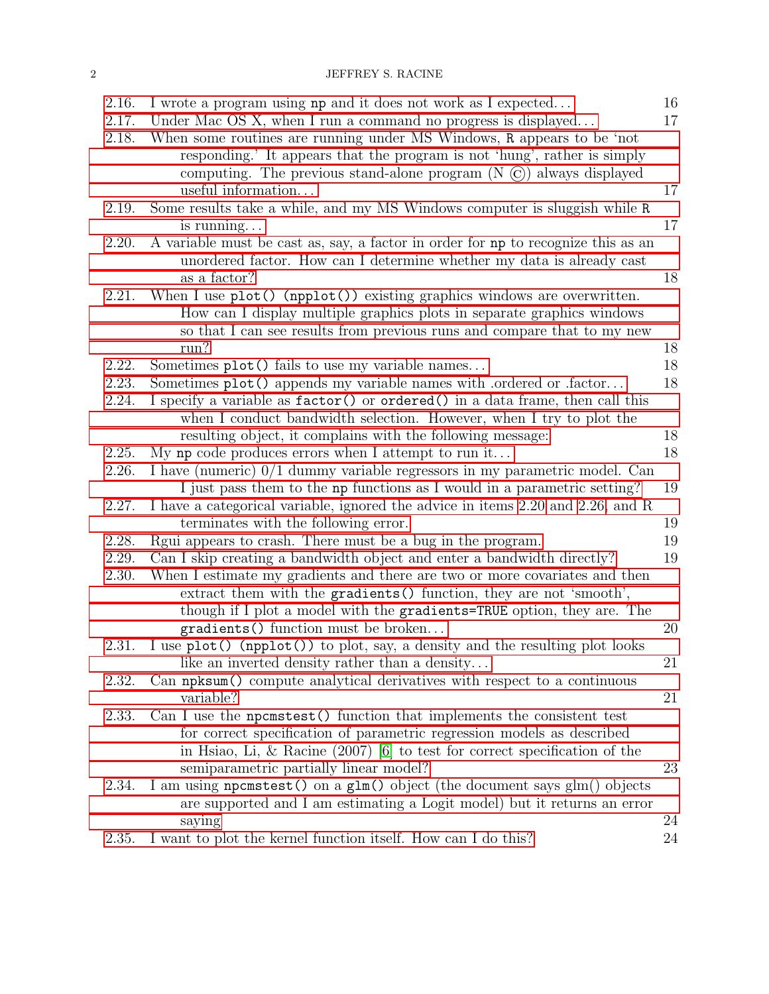## 2 JEFFREY S. RACINE

| 2.16.<br>2.17. | I wrote a program using np and it does not work as I expected<br>Under Mac OS X, when I run a command no progress is displayed                    | 16<br>17 |
|----------------|---------------------------------------------------------------------------------------------------------------------------------------------------|----------|
| 2.18.          | When some routines are running under MS Windows, R appears to be 'not<br>responding.' It appears that the program is not 'hung', rather is simply |          |
|                | computing. The previous stand-alone program $(N \odot)$ always displayed<br>useful information                                                    | 17       |
| 2.19.          | Some results take a while, and my MS Windows computer is sluggish while R                                                                         |          |
|                | is running                                                                                                                                        | 17       |
| 2.20.          | A variable must be cast as, say, a factor in order for np to recognize this as an                                                                 |          |
|                | unordered factor. How can I determine whether my data is already cast<br>as a factor?                                                             | 18       |
| 2.21.          | When I use $plot()$ (npplot()) existing graphics windows are overwritten.                                                                         |          |
|                | How can I display multiple graphics plots in separate graphics windows<br>so that I can see results from previous runs and compare that to my new |          |
|                | run?                                                                                                                                              | 18       |
| 2.22.          | Sometimes plot() fails to use my variable names                                                                                                   | 18       |
| 2.23.          | Sometimes plot() appends my variable names with ordered or factor                                                                                 | 18       |
| 2.24.          | I specify a variable as $factor()$ or ordered() in a data frame, then call this                                                                   |          |
|                | when I conduct bandwidth selection. However, when I try to plot the                                                                               |          |
|                | resulting object, it complains with the following message:                                                                                        | 18       |
| 2.25.          | My np code produces errors when I attempt to run it                                                                                               | 18       |
| 2.26.          | I have (numeric) 0/1 dummy variable regressors in my parametric model. Can                                                                        |          |
|                | I just pass them to the np functions as I would in a parametric setting?                                                                          | 19       |
| 2.27.          | I have a categorical variable, ignored the advice in items 2.20 and 2.26, and R                                                                   |          |
|                | terminates with the following error.                                                                                                              | 19<br>19 |
| 2.28.<br>2.29. | Rgui appears to crash. There must be a bug in the program.<br>Can I skip creating a bandwidth object and enter a bandwidth directly?              | 19       |
| 2.30.          | When I estimate my gradients and there are two or more covariates and then                                                                        |          |
|                | extract them with the gradients () function, they are not 'smooth',                                                                               |          |
|                | though if I plot a model with the gradients=TRUE option, they are. The                                                                            |          |
|                | gradients () function must be broken                                                                                                              | 20       |
| 2.31.          | I use plot() (npplot()) to plot, say, a density and the resulting plot looks                                                                      |          |
|                | like an inverted density rather than a density                                                                                                    | 21       |
| 2.32.          | Can npksum() compute analytical derivatives with respect to a continuous                                                                          |          |
|                | variable?                                                                                                                                         | 21       |
| 2.33.          | Can I use the necessitest () function that implements the consistent test                                                                         |          |
|                | for correct specification of parametric regression models as described                                                                            |          |
|                | in Hsiao, Li, & Racine $(2007)$ [6] to test for correct specification of the                                                                      | 23       |
| 2.34.          | semiparametric partially linear model?<br>I am using nonematicated on a glm() object (the document says glm() objects                             |          |
|                | are supported and I am estimating a Logit model) but it returns an error                                                                          |          |
|                | saying                                                                                                                                            | 24       |
| 2.35.          | I want to plot the kernel function itself. How can I do this?                                                                                     | 24       |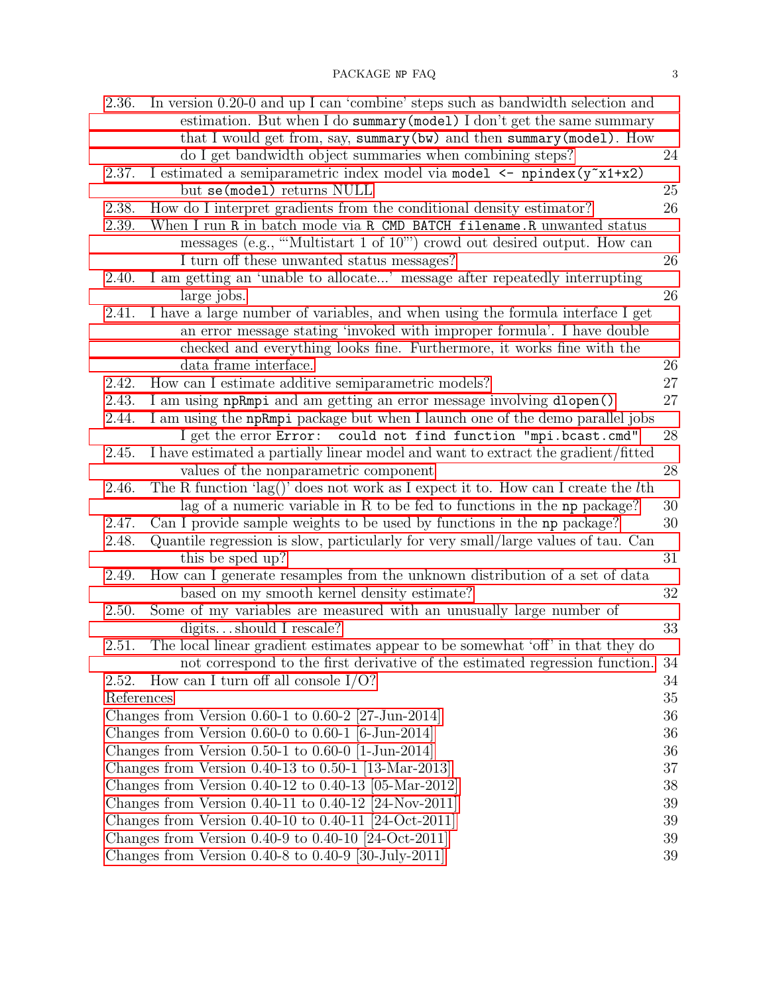PACKAGE NP FAQ 3

| 2.36.      | In version 0.20-0 and up I can 'combine' steps such as bandwidth selection and<br>estimation. But when I do summary (model) I don't get the same summary |    |
|------------|----------------------------------------------------------------------------------------------------------------------------------------------------------|----|
|            | that I would get from, say, summary (bw) and then summary (model). How<br>do I get bandwidth object summaries when combining steps?                      | 24 |
| 2.37.      | I estimated a semiparametric index model via model <- npindex(y <sup>-x1+x2)</sup><br>but se(model) returns NULL                                         | 25 |
| 2.38.      | How do I interpret gradients from the conditional density estimator?                                                                                     | 26 |
| 2.39.      | When I run R in batch mode via R CMD BATCH filename. R unwanted status<br>messages (e.g., "Multistart 1 of 10") crowd out desired output. How can        |    |
|            | I turn off these unwanted status messages?                                                                                                               | 26 |
| 2.40.      | I am getting an 'unable to allocate' message after repeatedly interrupting<br>large jobs.                                                                | 26 |
| 2.41.      | I have a large number of variables, and when using the formula interface I get                                                                           |    |
|            | an error message stating 'invoked with improper formula'. I have double<br>checked and everything looks fine. Furthermore, it works fine with the        |    |
|            | data frame interface.                                                                                                                                    | 26 |
| 2.42.      | How can I estimate additive semiparametric models?                                                                                                       | 27 |
| 2.43.      | I am using npRmpi and am getting an error message involving dlopen()                                                                                     | 27 |
| 2.44.      | I am using the npRmpi package but when I launch one of the demo parallel jobs                                                                            |    |
|            | I get the error Error: could not find function "mpi.bcast.cmd"                                                                                           | 28 |
| 2.45.      | I have estimated a partially linear model and want to extract the gradient/fitted                                                                        |    |
|            | values of the nonparametric component                                                                                                                    | 28 |
| 2.46.      | The R function 'lag()' does not work as I expect it to. How can I create the $l$ th                                                                      |    |
|            | lag of a numeric variable in $R$ to be fed to functions in the $np$ package?                                                                             | 30 |
| 2.47.      | Can I provide sample weights to be used by functions in the np package?                                                                                  | 30 |
| 2.48.      | Quantile regression is slow, particularly for very small/large values of tau. Can                                                                        |    |
|            | this be sped up?                                                                                                                                         | 31 |
| 2.49.      | How can I generate resamples from the unknown distribution of a set of data                                                                              |    |
|            | based on my smooth kernel density estimate?                                                                                                              | 32 |
| 2.50.      | Some of my variables are measured with an unusually large number of                                                                                      |    |
|            | digitsshould I rescale?                                                                                                                                  | 33 |
| 2.51.      | The local linear gradient estimates appear to be somewhat 'off' in that they do                                                                          |    |
|            | not correspond to the first derivative of the estimated regression function. 34                                                                          |    |
| 2.52.      | How can I turn off all console $I/O$ ?                                                                                                                   | 34 |
| References |                                                                                                                                                          | 35 |
|            | Changes from Version 0.60-1 to 0.60-2 [27-Jun-2014]                                                                                                      | 36 |
|            | Changes from Version 0.60-0 to 0.60-1 [6-Jun-2014]                                                                                                       | 36 |
|            | Changes from Version 0.50-1 to 0.60-0 $[1\text{-Jun-2014}]$                                                                                              | 36 |
|            | Changes from Version $0.40-13$ to $0.50-1$ [13-Mar-2013]                                                                                                 | 37 |
|            | Changes from Version $0.40$ -12 to $0.40$ -13 [05-Mar-2012]                                                                                              | 38 |
|            | Changes from Version $0.40-11$ to $0.40-12$ [24-Nov-2011]                                                                                                | 39 |
|            | Changes from Version $0.40-10$ to $0.40-11$ [24-Oct-2011]                                                                                                | 39 |
|            | Changes from Version $0.40-9$ to $0.40-10$ [24-Oct-2011]                                                                                                 | 39 |
|            | Changes from Version $0.40-8$ to $0.40-9$ [30-July-2011]                                                                                                 | 39 |
|            |                                                                                                                                                          |    |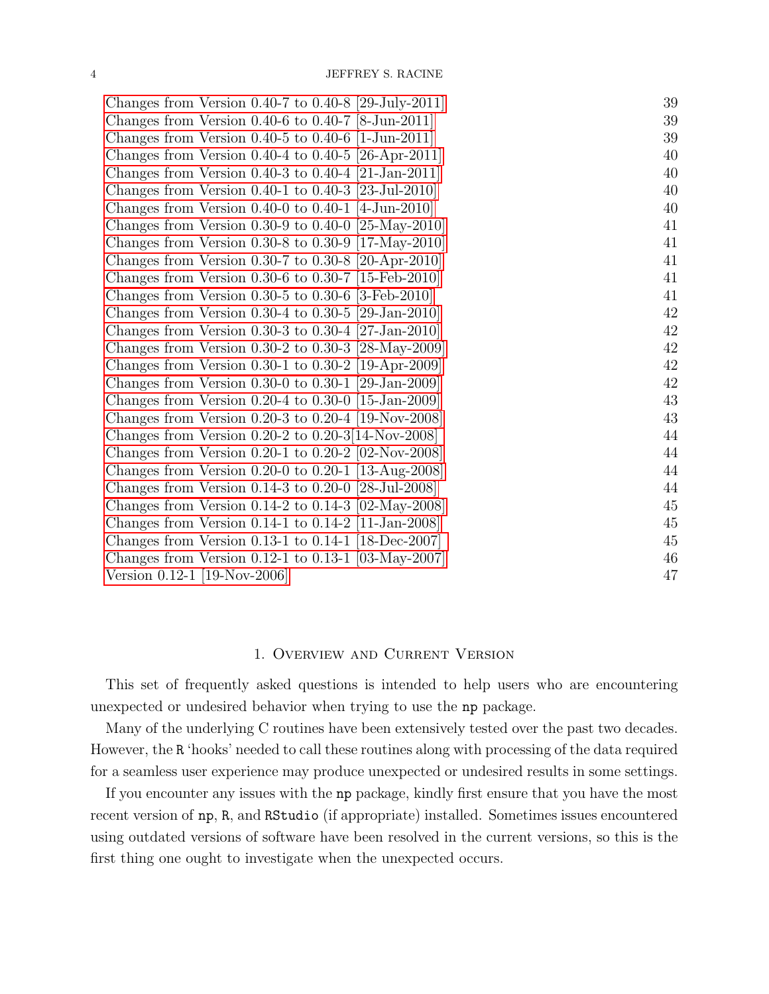| Changes from Version $0.40-6$ to $0.40-7$ [8-Jun-2011]<br>39<br>39<br>Changes from Version $0.40-5$ to $0.40-6$ [1-Jun-2011]<br>Changes from Version $0.40-4$ to $0.40-5$ [26-Apr-2011]<br>40<br>Changes from Version $0.40-3$ to $0.40-4$ [21-Jan-2011]<br>40<br>Changes from Version $0.40-1$ to $0.40-3$ [23-Jul-2010]<br>40<br>Changes from Version $0.40-0$ to $0.40-1$ [4-Jun-2010]<br>40 |
|-------------------------------------------------------------------------------------------------------------------------------------------------------------------------------------------------------------------------------------------------------------------------------------------------------------------------------------------------------------------------------------------------|
|                                                                                                                                                                                                                                                                                                                                                                                                 |
|                                                                                                                                                                                                                                                                                                                                                                                                 |
|                                                                                                                                                                                                                                                                                                                                                                                                 |
|                                                                                                                                                                                                                                                                                                                                                                                                 |
|                                                                                                                                                                                                                                                                                                                                                                                                 |
|                                                                                                                                                                                                                                                                                                                                                                                                 |
| Changes from Version 0.30-9 to 0.40-0 [25-May-2010]<br>41                                                                                                                                                                                                                                                                                                                                       |
| Changes from Version 0.30-8 to 0.30-9 [17-May-2010]<br>41                                                                                                                                                                                                                                                                                                                                       |
| Changes from Version 0.30-7 to 0.30-8 [20-Apr-2010]<br>41                                                                                                                                                                                                                                                                                                                                       |
| Changes from Version $0.30-6$ to $0.30-7$ [15-Feb-2010]<br>41                                                                                                                                                                                                                                                                                                                                   |
| Changes from Version $0.30-5$ to $0.30-6$ [3-Feb-2010]<br>41                                                                                                                                                                                                                                                                                                                                    |
| 42<br>Changes from Version 0.30-4 to 0.30-5 [29-Jan-2010]                                                                                                                                                                                                                                                                                                                                       |
| 42<br>Changes from Version $0.30-3$ to $0.30-4$ [27-Jan-2010]                                                                                                                                                                                                                                                                                                                                   |
| Changes from Version $0.30-2$ to $0.30-3$ [28-May-2009]<br>42                                                                                                                                                                                                                                                                                                                                   |
| Changes from Version 0.30-1 to 0.30-2 [19-Apr-2009]<br>42                                                                                                                                                                                                                                                                                                                                       |
| 42<br>Changes from Version 0.30-0 to 0.30-1 [29-Jan-2009]                                                                                                                                                                                                                                                                                                                                       |
| 43<br>Changes from Version 0.20-4 to 0.30-0 $[15$ -Jan-2009                                                                                                                                                                                                                                                                                                                                     |
| Changes from Version 0.20-3 to 0.20-4 $[19-Nov-2008]$<br>43                                                                                                                                                                                                                                                                                                                                     |
| Changes from Version $0.20-2$ to $0.20-3[14$ -Nov-2008<br>44                                                                                                                                                                                                                                                                                                                                    |
| Changes from Version $0.20-1$ to $0.20-2$ [02-Nov-2008]<br>44                                                                                                                                                                                                                                                                                                                                   |
| Changes from Version 0.20-0 to 0.20-1 [13-Aug-2008]<br>44                                                                                                                                                                                                                                                                                                                                       |
| Changes from Version $0.14-3$ to $0.20-0$ [28-Jul-2008]<br>44                                                                                                                                                                                                                                                                                                                                   |
| Changes from Version 0.14-2 to 0.14-3 [02-May-2008]<br>45                                                                                                                                                                                                                                                                                                                                       |
| Changes from Version $0.14-1$ to $0.14-2$ [11-Jan-2008]<br>45                                                                                                                                                                                                                                                                                                                                   |
| Changes from Version 0.13-1 to 0.14-1 $[18\text{-}Dec\text{-}2007]$<br>45                                                                                                                                                                                                                                                                                                                       |
| Changes from Version 0.12-1 to 0.13-1 $[03-May-2007]$<br>46                                                                                                                                                                                                                                                                                                                                     |
| Version $0.12-1$ [19-Nov-2006]<br>47                                                                                                                                                                                                                                                                                                                                                            |

## 1. Overview and Current Version

<span id="page-3-0"></span>This set of frequently asked questions is intended to help users who are encountering unexpected or undesired behavior when trying to use the np package.

Many of the underlying C routines have been extensively tested over the past two decades. However, the R 'hooks' needed to call these routines along with processing of the data required for a seamless user experience may produce unexpected or undesired results in some settings.

If you encounter any issues with the np package, kindly first ensure that you have the most recent version of np, R, and RStudio (if appropriate) installed. Sometimes issues encountered using outdated versions of software have been resolved in the current versions, so this is the first thing one ought to investigate when the unexpected occurs.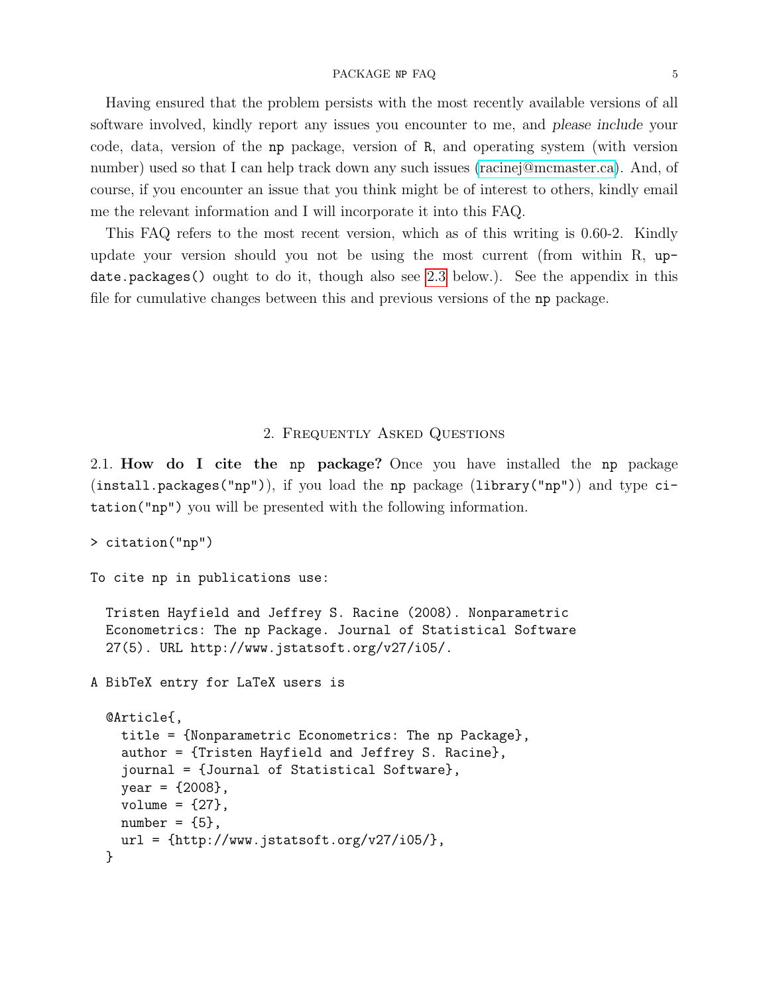#### PACKAGE NP FAQ 5

Having ensured that the problem persists with the most recently available versions of all software involved, kindly report any issues you encounter to me, and please include your code, data, version of the np package, version of R, and operating system (with version number) used so that I can help track down any such issues [\(racinej@mcmaster.ca\)](mailto:racinej@mcmaster.ca). And, of course, if you encounter an issue that you think might be of interest to others, kindly email me the relevant information and I will incorporate it into this FAQ.

This FAQ refers to the most recent version, which as of this writing is 0.60-2. Kindly update your version should you not be using the most current (from within R, update.packages() ought to do it, though also see [2.3](#page-5-1) below.). See the appendix in this file for cumulative changes between this and previous versions of the np package.

#### 2. Frequently Asked Questions

<span id="page-4-1"></span><span id="page-4-0"></span>2.1. How do I cite the np package? Once you have installed the np package (install.packages("np")), if you load the np package (library("np")) and type citation("np") you will be presented with the following information.

```
> citation("np")
```
To cite np in publications use:

```
Tristen Hayfield and Jeffrey S. Racine (2008). Nonparametric
Econometrics: The np Package. Journal of Statistical Software
27(5). URL http://www.jstatsoft.org/v27/i05/.
```
A BibTeX entry for LaTeX users is

```
@Article{,
  title = {Nonparametric Econometrics: The np Package},
  author = {Tristen Hayfield and Jeffrey S. Racine},
  journal = {Journal of Statistical Software},
  year = {2008},
  volume = {27},
 number = {5},
  url = {http://www.jstatsoft.org/v27/i05/},}
```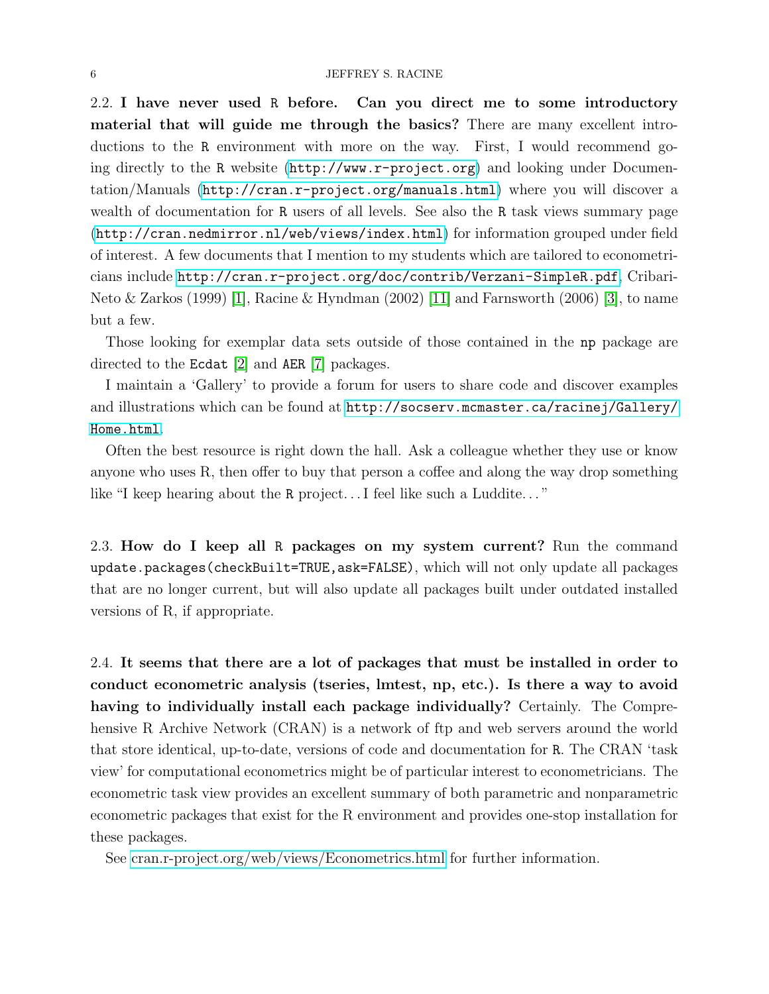<span id="page-5-0"></span>2.2. I have never used R before. Can you direct me to some introductory material that will guide me through the basics? There are many excellent introductions to the R environment with more on the way. First, I would recommend going directly to the R website (<http://www.r-project.org>) and looking under Documentation/Manuals (<http://cran.r-project.org/manuals.html>) where you will discover a wealth of documentation for R users of all levels. See also the R task views summary page (<http://cran.nedmirror.nl/web/views/index.html>) for information grouped under field of interest. A few documents that I mention to my students which are tailored to econometricians include <http://cran.r-project.org/doc/contrib/Verzani-SimpleR.pdf>, Cribari-Neto & Zarkos (1999) [\[1\]](#page-34-2), Racine & Hyndman (2002) [\[11\]](#page-34-3) and Farnsworth (2006) [\[3\]](#page-34-4), to name but a few.

Those looking for exemplar data sets outside of those contained in the np package are directed to the Ecdat [\[2\]](#page-34-5) and AER [\[7\]](#page-34-6) packages.

I maintain a 'Gallery' to provide a forum for users to share code and discover examples and illustrations which can be found at [http://socserv.mcmaster.ca/racinej/Gallery/](http://socserv.mcmaster.ca/racinej/Gallery/Home.html) [Home.html](http://socserv.mcmaster.ca/racinej/Gallery/Home.html).

Often the best resource is right down the hall. Ask a colleague whether they use or know anyone who uses R, then offer to buy that person a coffee and along the way drop something like "I keep hearing about the R project... I feel like such a Luddite..."

<span id="page-5-1"></span>2.3. How do I keep all R packages on my system current? Run the command update.packages(checkBuilt=TRUE,ask=FALSE), which will not only update all packages that are no longer current, but will also update all packages built under outdated installed versions of R, if appropriate.

<span id="page-5-2"></span>2.4. It seems that there are a lot of packages that must be installed in order to conduct econometric analysis (tseries, lmtest, np, etc.). Is there a way to avoid having to individually install each package individually? Certainly. The Comprehensive R Archive Network (CRAN) is a network of ftp and web servers around the world that store identical, up-to-date, versions of code and documentation for R. The CRAN 'task view' for computational econometrics might be of particular interest to econometricians. The econometric task view provides an excellent summary of both parametric and nonparametric econometric packages that exist for the R environment and provides one-stop installation for these packages.

See [cran.r-project.org/web/views/Econometrics.html](http://cran.r-project.org/web/views/Econometrics.html) for further information.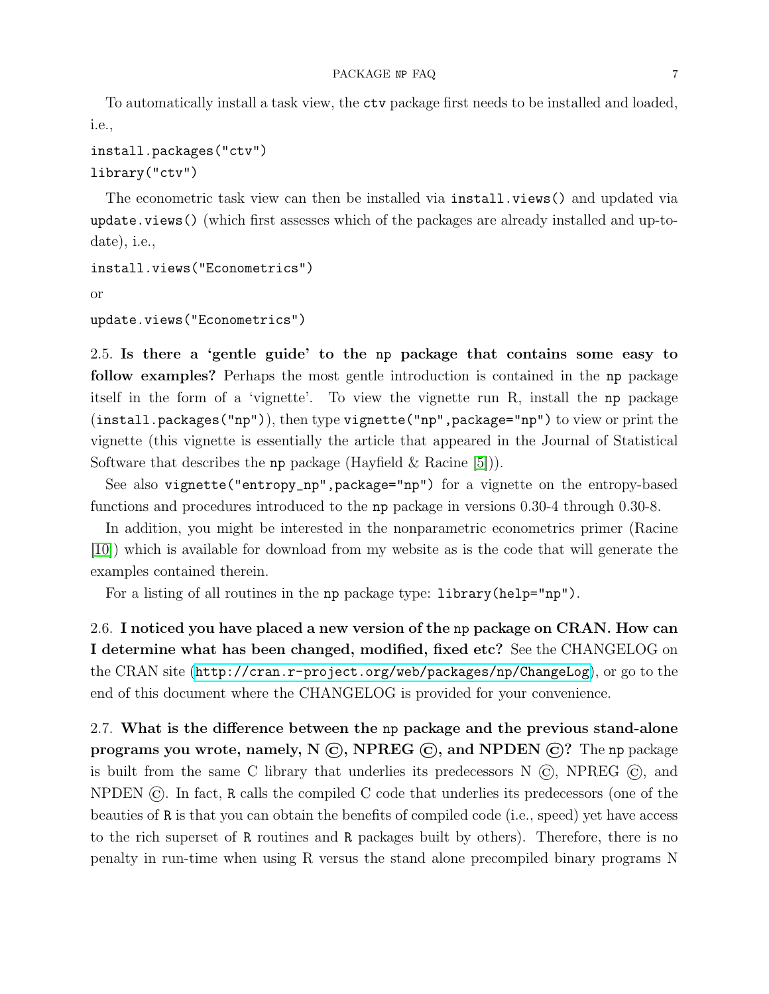To automatically install a task view, the ctv package first needs to be installed and loaded, i.e.,

```
install.packages("ctv")
library("ctv")
```
The econometric task view can then be installed via install.views() and updated via update.views() (which first assesses which of the packages are already installed and up-todate), i.e.,

```
install.views("Econometrics")
or
```

```
update.views("Econometrics")
```
<span id="page-6-0"></span>2.5. Is there a 'gentle guide' to the np package that contains some easy to follow examples? Perhaps the most gentle introduction is contained in the np package itself in the form of a 'vignette'. To view the vignette run R, install the np package (install.packages("np")), then type vignette("np",package="np") to view or print the vignette (this vignette is essentially the article that appeared in the Journal of Statistical Software that describes the np package (Hayfield  $\&$  Racine [\[5\]](#page-34-7))).

See also vignette("entropy\_np",package="np") for a vignette on the entropy-based functions and procedures introduced to the np package in versions 0.30-4 through 0.30-8.

In addition, you might be interested in the nonparametric econometrics primer (Racine [\[10\]](#page-34-8)) which is available for download from my website as is the code that will generate the examples contained therein.

For a listing of all routines in the np package type: library(help="np").

<span id="page-6-1"></span>2.6. I noticed you have placed a new version of the np package on CRAN. How can I determine what has been changed, modified, fixed etc? See the CHANGELOG on the CRAN site (<http://cran.r-project.org/web/packages/np/ChangeLog>), or go to the end of this document where the CHANGELOG is provided for your convenience.

<span id="page-6-2"></span>2.7. What is the difference between the np package and the previous stand-alone programs you wrote, namely, N  $\overline{C}$ , NPREG  $\overline{C}$ , and NPDEN  $\overline{C}$ ? The np package is built from the same C library that underlies its predecessors  $N(\mathbb{C})$ , NPREG  $(\mathbb{C})$ , and NPDEN ©. In fact, R calls the compiled C code that underlies its predecessors (one of the beauties of R is that you can obtain the benefits of compiled code (i.e., speed) yet have access to the rich superset of R routines and R packages built by others). Therefore, there is no penalty in run-time when using R versus the stand alone precompiled binary programs N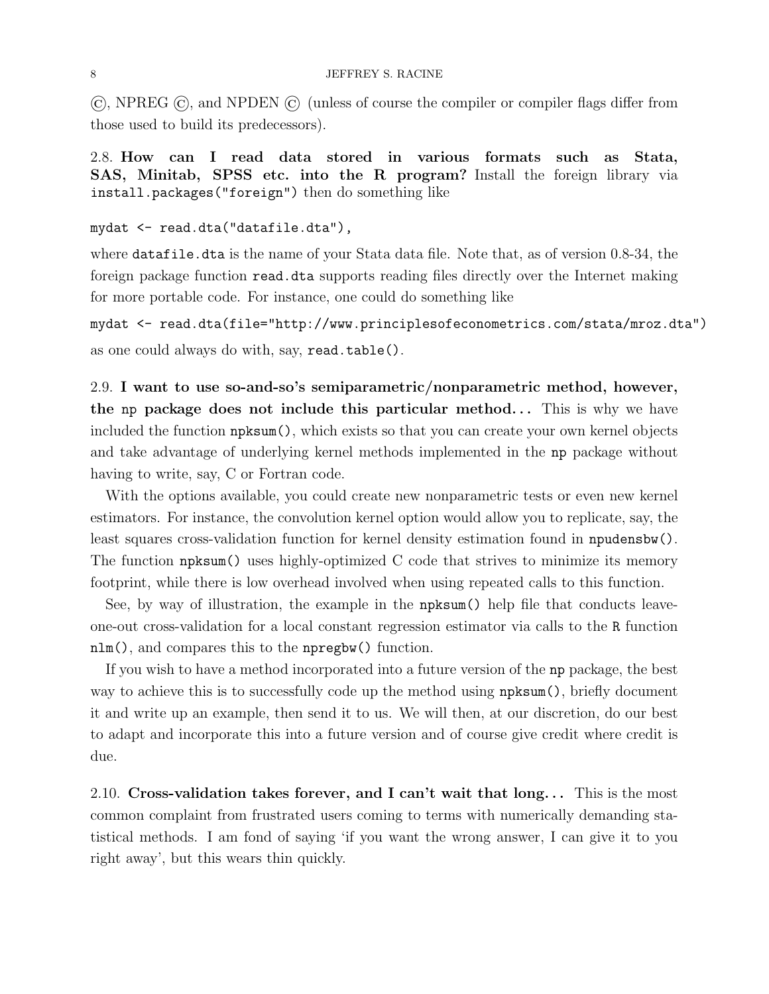©, NPREG ©, and NPDEN © (unless of course the compiler or compiler flags differ from those used to build its predecessors).

<span id="page-7-0"></span>2.8. How can I read data stored in various formats such as Stata, SAS, Minitab, SPSS etc. into the R program? Install the foreign library via install.packages("foreign") then do something like

```
mydat <- read.dta("datafile.dta"),
```
where datafile.dta is the name of your Stata data file. Note that, as of version 0.8-34, the foreign package function read.dta supports reading files directly over the Internet making for more portable code. For instance, one could do something like

mydat <- read.dta(file="http://www.principlesofeconometrics.com/stata/mroz.dta") as one could always do with, say, read.table().

<span id="page-7-1"></span>2.9. I want to use so-and-so's semiparametric/nonparametric method, however, the np package does not include this particular method... This is why we have included the function npksum(), which exists so that you can create your own kernel objects and take advantage of underlying kernel methods implemented in the np package without having to write, say, C or Fortran code.

With the options available, you could create new nonparametric tests or even new kernel estimators. For instance, the convolution kernel option would allow you to replicate, say, the least squares cross-validation function for kernel density estimation found in npudensbw(). The function npksum() uses highly-optimized C code that strives to minimize its memory footprint, while there is low overhead involved when using repeated calls to this function.

See, by way of illustration, the example in the npksum() help file that conducts leaveone-out cross-validation for a local constant regression estimator via calls to the R function nlm(), and compares this to the npregbw() function.

If you wish to have a method incorporated into a future version of the np package, the best way to achieve this is to successfully code up the method using npksum(), briefly document it and write up an example, then send it to us. We will then, at our discretion, do our best to adapt and incorporate this into a future version and of course give credit where credit is due.

<span id="page-7-2"></span>2.10. Cross-validation takes forever, and I can't wait that  $\log$ ... This is the most common complaint from frustrated users coming to terms with numerically demanding statistical methods. I am fond of saying 'if you want the wrong answer, I can give it to you right away', but this wears thin quickly.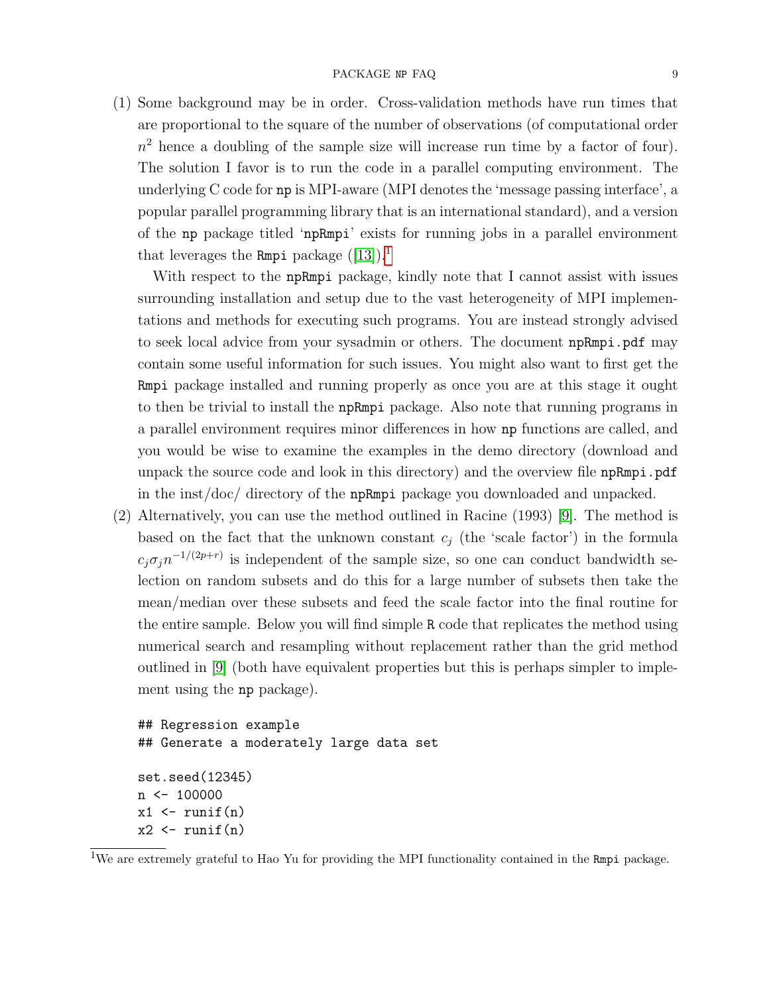(1) Some background may be in order. Cross-validation methods have run times that are proportional to the square of the number of observations (of computational order  $n<sup>2</sup>$  hence a doubling of the sample size will increase run time by a factor of four). The solution I favor is to run the code in a parallel computing environment. The underlying C code for np is MPI-aware (MPI denotes the 'message passing interface', a popular parallel programming library that is an international standard), and a version of the np package titled 'npRmpi' exists for running jobs in a parallel environment that leverages the Rmpi package  $([13])$  $([13])$  $([13])$ <sup>[1](#page-8-0)</sup>

With respect to the npRmpi package, kindly note that I cannot assist with issues surrounding installation and setup due to the vast heterogeneity of MPI implementations and methods for executing such programs. You are instead strongly advised to seek local advice from your sysadmin or others. The document npRmpi.pdf may contain some useful information for such issues. You might also want to first get the Rmpi package installed and running properly as once you are at this stage it ought to then be trivial to install the npRmpi package. Also note that running programs in a parallel environment requires minor differences in how np functions are called, and you would be wise to examine the examples in the demo directory (download and unpack the source code and look in this directory) and the overview file npRmpi.pdf in the inst/doc/ directory of the npRmpi package you downloaded and unpacked.

(2) Alternatively, you can use the method outlined in Racine (1993) [\[9\]](#page-34-10). The method is based on the fact that the unknown constant  $c_i$  (the 'scale factor') in the formula  $c_j \sigma_j n^{-1/(2p+r)}$  is independent of the sample size, so one can conduct bandwidth selection on random subsets and do this for a large number of subsets then take the mean/median over these subsets and feed the scale factor into the final routine for the entire sample. Below you will find simple R code that replicates the method using numerical search and resampling without replacement rather than the grid method outlined in [\[9\]](#page-34-10) (both have equivalent properties but this is perhaps simpler to implement using the np package).

```
## Regression example
## Generate a moderately large data set
set.seed(12345)
n \le -100000x1 \leftarrow \text{runif}(n)x2 \leftarrow runif(n)
```
<span id="page-8-0"></span><sup>&</sup>lt;sup>1</sup>We are extremely grateful to Hao Yu for providing the MPI functionality contained in the Rmpi package.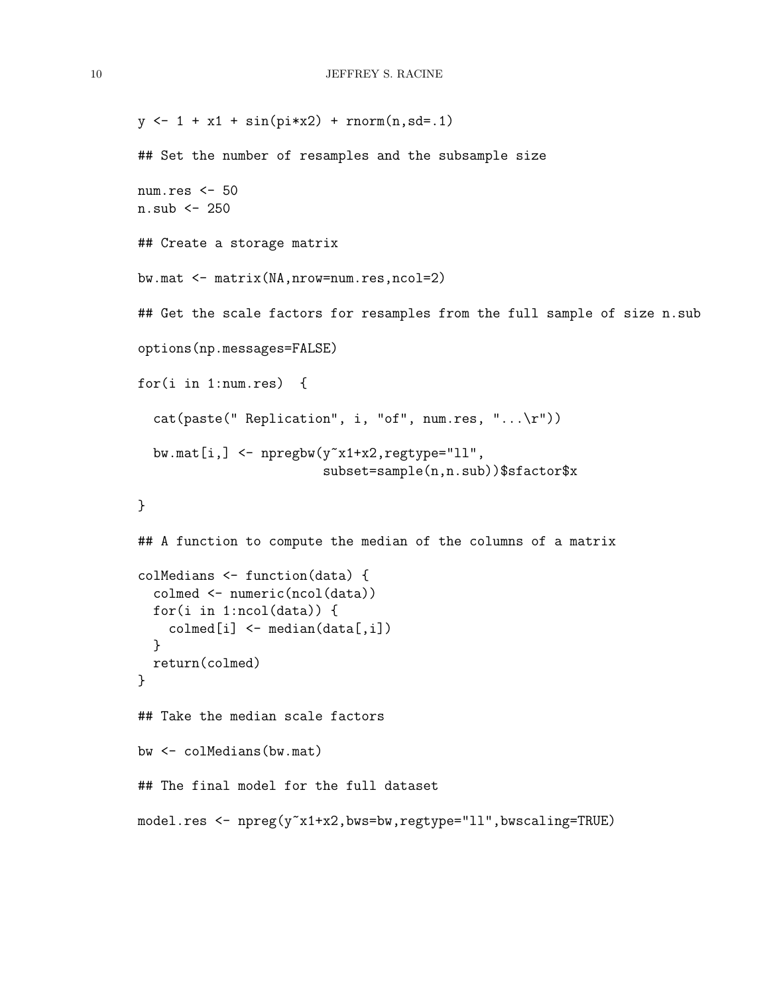```
y \leftarrow 1 + x1 + \sin(pix2) + \text{norm}(n, sd=.1)## Set the number of resamples and the subsample size
num.res <- 50
n.sub <- 250
## Create a storage matrix
bw.mat <- matrix(NA,nrow=num.res,ncol=2)
## Get the scale factors for resamples from the full sample of size n.sub
options(np.messages=FALSE)
for(i in 1:num.res) {
  cat(paste("Replication", i, "of", num.res, "...\r"))bw.mat[i,] <- npregbw(y~x1+x2,regtype="ll",
                         subset=sample(n,n.sub))$sfactor$x
}
## A function to compute the median of the columns of a matrix
colMedians <- function(data) {
  colmed <- numeric(ncol(data))
  for(i in 1:ncol(data)) {
    \text{colmed}[i] \leq - \text{median}(data[, i])}
  return(colmed)
}
## Take the median scale factors
bw <- colMedians(bw.mat)
## The final model for the full dataset
model.res <- npreg(y<sup>~x1+x2</sup>,bws=bw,regtype="ll",bwscaling=TRUE)
```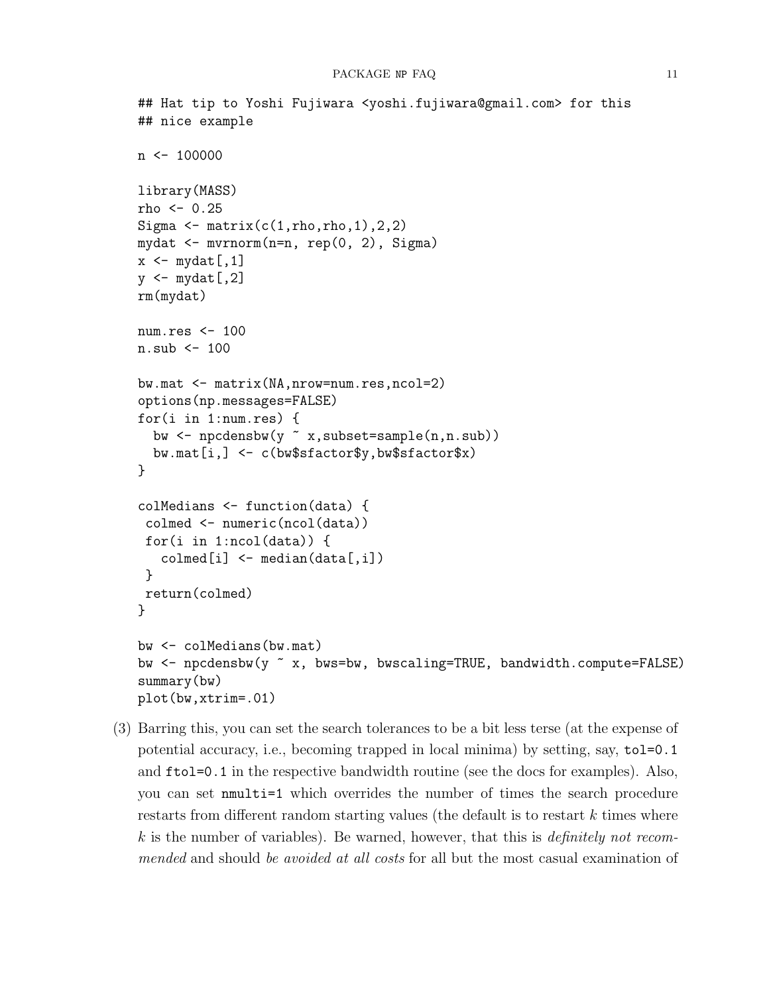```
## Hat tip to Yoshi Fujiwara <yoshi.fujiwara@gmail.com> for this
## nice example
n \leq -100000library(MASS)
rho <- 0.25
Sigma \leq matrix(c(1,rho,rho,1),2,2)mydat <- mvrnorm(n=n, rep(0, 2), Sigma)
x \leftarrow \text{mydat}[, 1]y \leftarrow mydat[, 2]rm(mydat)
num.res <- 100
n. sub \leq -100bw.mat <- matrix(NA,nrow=num.res,ncol=2)
options(np.messages=FALSE)
for(i in 1:num.res) {
  bw <- npcdensbw(y ~ x,subset=sample(n,n.sub))
  bw.mat[i,] <- c(bw$sfactor$y,bw$sfactor$x)
}
colMedians <- function(data) {
 colmed <- numeric(ncol(data))
 for(i in 1:ncol(data)) {
   \text{colmed}[i] \leq \text{median}(data[, i])}
 return(colmed)
}
bw <- colMedians(bw.mat)
bw <- npcdensbw(y ~ x, bws=bw, bwscaling=TRUE, bandwidth.compute=FALSE)
summary(bw)
plot(bw,xtrim=.01)
```
(3) Barring this, you can set the search tolerances to be a bit less terse (at the expense of potential accuracy, i.e., becoming trapped in local minima) by setting, say, tol=0.1 and ftol=0.1 in the respective bandwidth routine (see the docs for examples). Also, you can set nmulti=1 which overrides the number of times the search procedure restarts from different random starting values (the default is to restart k times where  $k$  is the number of variables). Be warned, however, that this is *definitely not recom*mended and should be avoided at all costs for all but the most casual examination of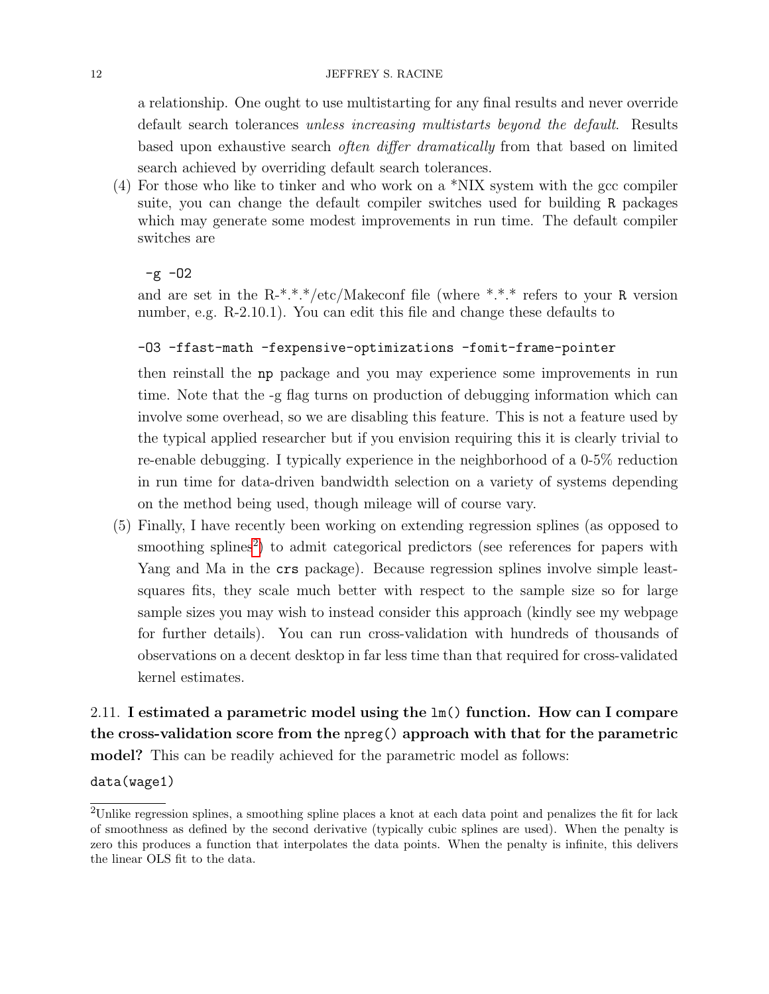#### 12 JEFFREY S. RACINE

a relationship. One ought to use multistarting for any final results and never override default search tolerances unless increasing multistarts beyond the default. Results based upon exhaustive search often differ dramatically from that based on limited search achieved by overriding default search tolerances.

(4) For those who like to tinker and who work on a \*NIX system with the gcc compiler suite, you can change the default compiler switches used for building R packages which may generate some modest improvements in run time. The default compiler switches are

 $-g - 02$ 

and are set in the R-\*.\*/etc/Makeconf file (where \*.\*.\* refers to your R version number, e.g. R-2.10.1). You can edit this file and change these defaults to

### -O3 -ffast-math -fexpensive-optimizations -fomit-frame-pointer

then reinstall the np package and you may experience some improvements in run time. Note that the -g flag turns on production of debugging information which can involve some overhead, so we are disabling this feature. This is not a feature used by the typical applied researcher but if you envision requiring this it is clearly trivial to re-enable debugging. I typically experience in the neighborhood of a 0-5% reduction in run time for data-driven bandwidth selection on a variety of systems depending on the method being used, though mileage will of course vary.

(5) Finally, I have recently been working on extending regression splines (as opposed to smoothing splines<sup>[2](#page-11-1)</sup>) to admit categorical predictors (see references for papers with Yang and Ma in the crs package). Because regression splines involve simple leastsquares fits, they scale much better with respect to the sample size so for large sample sizes you may wish to instead consider this approach (kindly see my webpage for further details). You can run cross-validation with hundreds of thousands of observations on a decent desktop in far less time than that required for cross-validated kernel estimates.

# <span id="page-11-0"></span>2.11. I estimated a parametric model using the lm() function. How can I compare the cross-validation score from the npreg() approach with that for the parametric model? This can be readily achieved for the parametric model as follows:

data(wage1)

<span id="page-11-1"></span><sup>2</sup>Unlike regression splines, a smoothing spline places a knot at each data point and penalizes the fit for lack of smoothness as defined by the second derivative (typically cubic splines are used). When the penalty is zero this produces a function that interpolates the data points. When the penalty is infinite, this delivers the linear OLS fit to the data.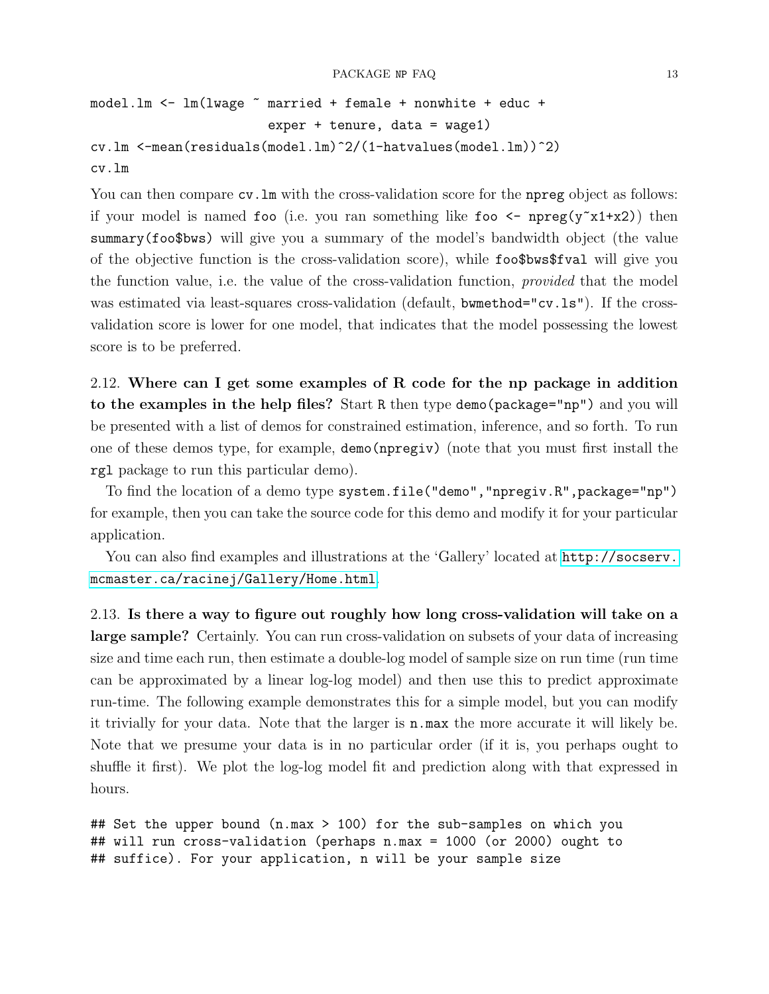```
model.lm <- lm(lwage ~ married + female + nonwhite + educ +
                       exper + tenure, data = wage1)
cv.lm <-mean(residuals(model.lm)^2/(1-hatvalues(model.lm))^2)
cv.lm
```
You can then compare  $cv \cdot \text{lm}$  with the cross-validation score for the naming object as follows: if your model is named foo (i.e. you ran something like foo  $\leq$  npreg(y<sup> $\lt x$ 1+x2))</sup> then summary(foo\$bws) will give you a summary of the model's bandwidth object (the value of the objective function is the cross-validation score), while foo\$bws\$fval will give you the function value, i.e. the value of the cross-validation function, provided that the model was estimated via least-squares cross-validation (default, bwmethod="cv.ls"). If the crossvalidation score is lower for one model, that indicates that the model possessing the lowest score is to be preferred.

<span id="page-12-0"></span>2.12. Where can I get some examples of R code for the np package in addition to the examples in the help files? Start R then type demo(package="np") and you will be presented with a list of demos for constrained estimation, inference, and so forth. To run one of these demos type, for example, demo(npregiv) (note that you must first install the rgl package to run this particular demo).

To find the location of a demo type system.file("demo","npregiv.R",package="np") for example, then you can take the source code for this demo and modify it for your particular application.

You can also find examples and illustrations at the 'Gallery' located at  $http://socserv.$ [mcmaster.ca/racinej/Gallery/Home.html](http://socserv.mcmaster.ca/racinej/Gallery/Home.html).

<span id="page-12-1"></span>2.13. Is there a way to figure out roughly how long cross-validation will take on a large sample? Certainly. You can run cross-validation on subsets of your data of increasing size and time each run, then estimate a double-log model of sample size on run time (run time can be approximated by a linear log-log model) and then use this to predict approximate run-time. The following example demonstrates this for a simple model, but you can modify it trivially for your data. Note that the larger is n.max the more accurate it will likely be. Note that we presume your data is in no particular order (if it is, you perhaps ought to shuffle it first). We plot the log-log model fit and prediction along with that expressed in hours.

```
## Set the upper bound (n.max > 100) for the sub-samples on which you
## will run cross-validation (perhaps n.max = 1000 (or 2000) ought to
## suffice). For your application, n will be your sample size
```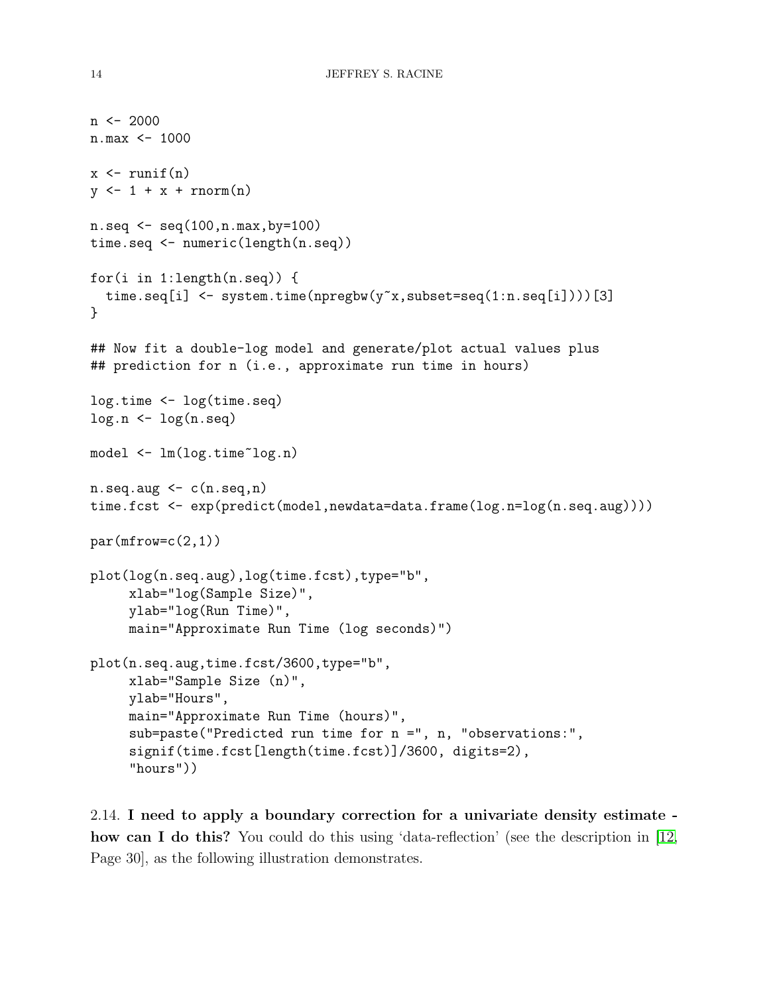```
n \le -2000n.max <- 1000
x \leftarrow runif(n)y \leftarrow 1 + x + \text{norm}(n)n.\text{seq} \leftarrow \text{seq}(100, n.\text{max}, \text{by=100})time.seq <- numeric(length(n.seq))
for(i in 1:length(n.seq)) {
  time.seq[i] \leq system.time(npregbw(y<sup>\alpha</sup>x, subset=seq(1:n.seq[i])))[3]
}
## Now fit a double-log model and generate/plot actual values plus
## prediction for n (i.e., approximate run time in hours)
log.time <- log(time.seq)
log.n \leftarrow log(n, seq)model <- lm(log.time~log.n)
n.\text{seq.}aug \leq c(n.\text{seq.}n)time.fcst <- exp(predict(model,newdata=data.frame(log.n=log(n.seq.aug))))
par(mfrow=c(2,1))plot(log(n.seq.aug),log(time.fcst),type="b",
     xlab="log(Sample Size)",
     ylab="log(Run Time)",
     main="Approximate Run Time (log seconds)")
plot(n.seq.aug,time.fcst/3600,type="b",
     xlab="Sample Size (n)",
     ylab="Hours",
     main="Approximate Run Time (hours)",
     sub=paste("Predicted run time for n =", n, "observations:",
     signif(time.fcst[length(time.fcst)]/3600, digits=2),
     "hours"))
```
<span id="page-13-0"></span>2.14. I need to apply a boundary correction for a univariate density estimate - how can I do this? You could do this using 'data-reflection' (see the description in [\[12,](#page-34-11) Page 30], as the following illustration demonstrates.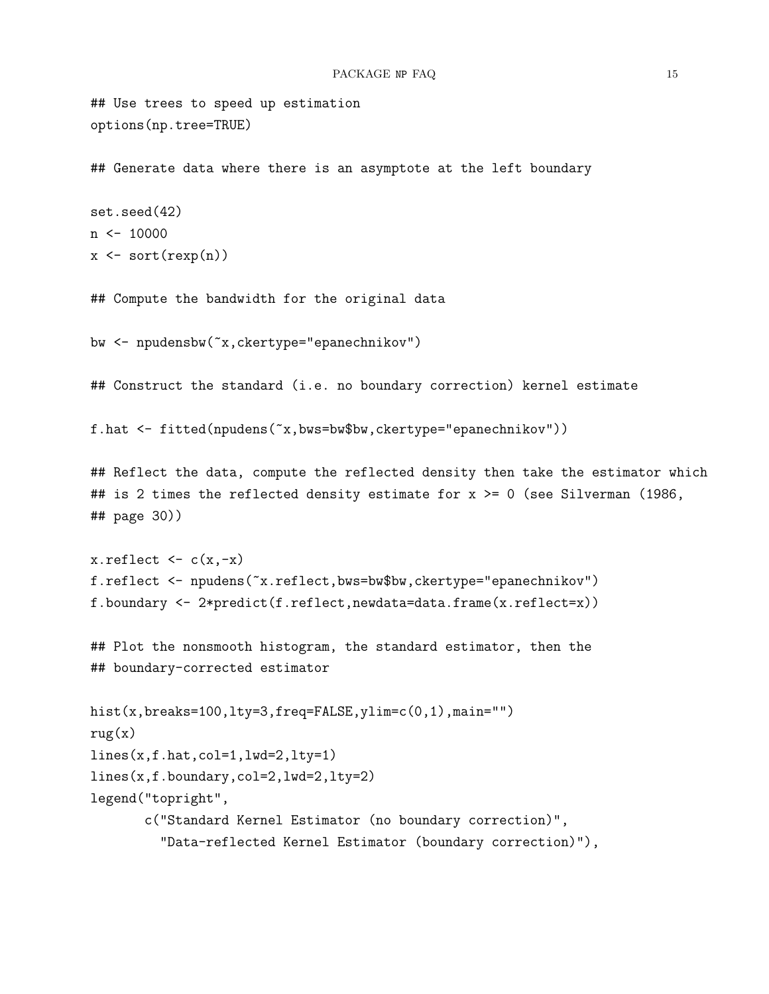```
## Use trees to speed up estimation
options(np.tree=TRUE)
## Generate data where there is an asymptote at the left boundary
set.seed(42)
n \le -10000x \leftarrow sort(rexp(n))## Compute the bandwidth for the original data
bw <- npudensbw(~x,ckertype="epanechnikov")
## Construct the standard (i.e. no boundary correction) kernel estimate
f.hat <- fitted(npudens(~x,bws=bw$bw,ckertype="epanechnikov"))
## Reflect the data, compute the reflected density then take the estimator which
## is 2 times the reflected density estimate for x \ge 0 (see Silverman (1986,
## page 30))
x.reflect \leftarrow c(x,-x)f.reflect <- npudens(~x.reflect,bws=bw$bw,ckertype="epanechnikov")
f.boundary <- 2*predict(f.reflect,newdata=data.frame(x.reflect=x))
## Plot the nonsmooth histogram, the standard estimator, then the
## boundary-corrected estimator
hist(x,breaks=100,lty=3,freq=FALSE,ylim=c(0,1),main="")
rug(x)lines(x,f.hat,col=1,lwd=2,lty=1)
lines(x,f.boundary,col=2,lwd=2,lty=2)
legend("topright",
       c("Standard Kernel Estimator (no boundary correction)",
         "Data-reflected Kernel Estimator (boundary correction)"),
```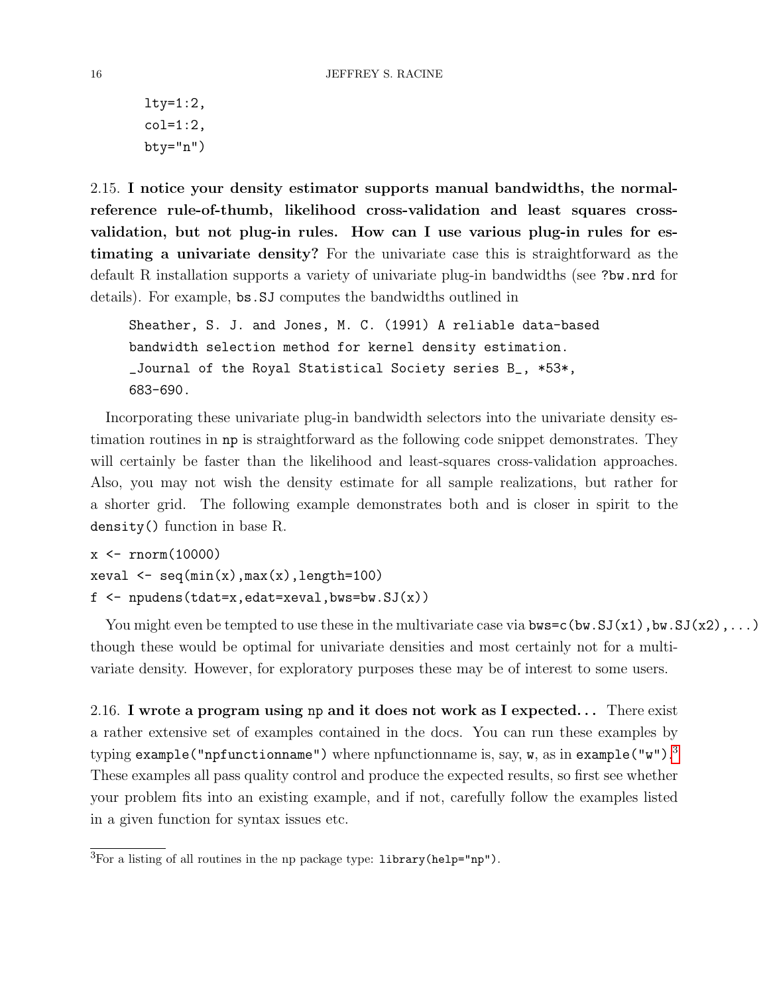$l$ ty= $1:2$ ,  $col=1:2$ ,  $b$ ty="n")

<span id="page-15-0"></span>2.15. I notice your density estimator supports manual bandwidths, the normalreference rule-of-thumb, likelihood cross-validation and least squares crossvalidation, but not plug-in rules. How can I use various plug-in rules for estimating a univariate density? For the univariate case this is straightforward as the default R installation supports a variety of univariate plug-in bandwidths (see ?bw.nrd for details). For example, bs.SJ computes the bandwidths outlined in

```
Sheather, S. J. and Jones, M. C. (1991) A reliable data-based
bandwidth selection method for kernel density estimation.
_Journal of the Royal Statistical Society series B_, *53*,
683-690.
```
Incorporating these univariate plug-in bandwidth selectors into the univariate density estimation routines in np is straightforward as the following code snippet demonstrates. They will certainly be faster than the likelihood and least-squares cross-validation approaches. Also, you may not wish the density estimate for all sample realizations, but rather for a shorter grid. The following example demonstrates both and is closer in spirit to the density() function in base R.

```
x \leftarrow \text{rnorm}(10000)xeval \leftarrow seq(min(x),max(x),length=100)f \leftarrow npudens(tdat=x,edat=xeval,bws=bw.SJ(x))
```
You might even be tempted to use these in the multivariate case via  $bws=c(bw.SJ(x1),bw.SJ(x2),...)$ though these would be optimal for univariate densities and most certainly not for a multivariate density. However, for exploratory purposes these may be of interest to some users.

<span id="page-15-1"></span>2.16. I wrote a program using np and it does not work as I expected. . . There exist a rather extensive set of examples contained in the docs. You can run these examples by typing example("npfunctionname") where npfunctionname is, say,  $w$ , as in example(" $w$ "). $^3$  $^3$ These examples all pass quality control and produce the expected results, so first see whether your problem fits into an existing example, and if not, carefully follow the examples listed in a given function for syntax issues etc.

<span id="page-15-2"></span> ${}^{3}$ For a listing of all routines in the np package type: library(help="np").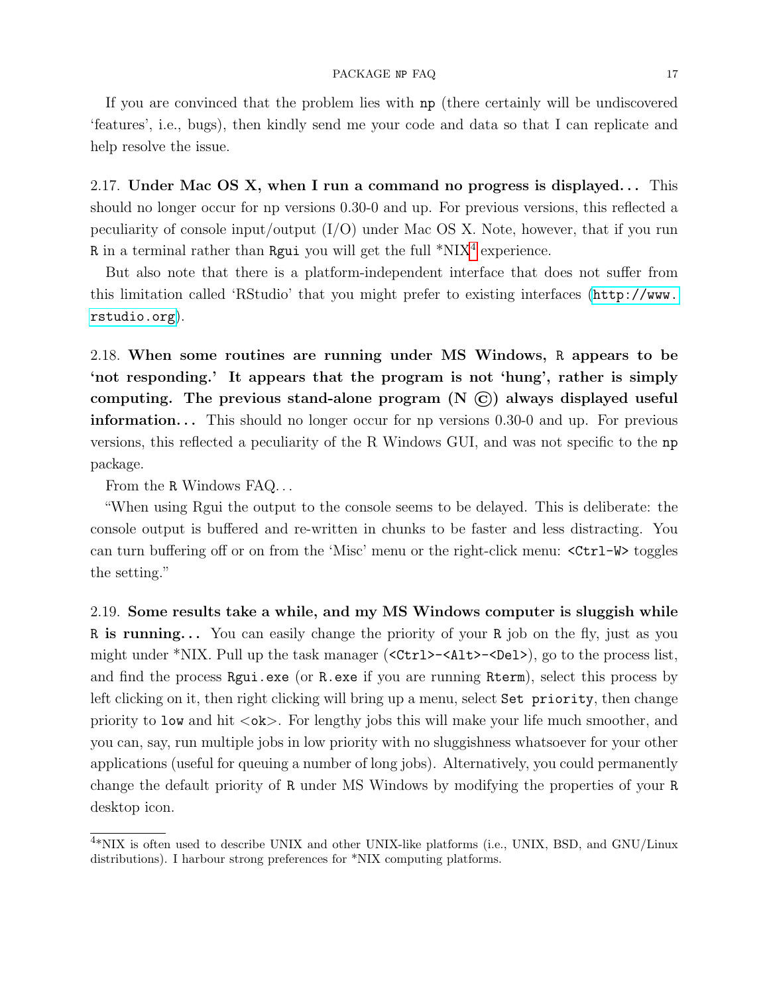#### PACKAGE NP FAQ 17

If you are convinced that the problem lies with np (there certainly will be undiscovered 'features', i.e., bugs), then kindly send me your code and data so that I can replicate and help resolve the issue.

<span id="page-16-0"></span>2.17. Under Mac OS X, when I run a command no progress is displayed... This should no longer occur for np versions 0.30-0 and up. For previous versions, this reflected a peculiarity of console input/output (I/O) under Mac OS X. Note, however, that if you run R in a terminal rather than Rgui you will get the full  $*NIX<sup>4</sup>$  $*NIX<sup>4</sup>$  $*NIX<sup>4</sup>$  experience.

But also note that there is a platform-independent interface that does not suffer from this limitation called 'RStudio' that you might prefer to existing interfaces ([http://www.](http://www.rstudio.org) [rstudio.org](http://www.rstudio.org)).

<span id="page-16-1"></span>2.18. When some routines are running under MS Windows, R appears to be 'not responding.' It appears that the program is not 'hung', rather is simply computing. The previous stand-alone program  $(N \n\odot)$  always displayed useful **information...** This should no longer occur for np versions  $0.30-0$  and up. For previous versions, this reflected a peculiarity of the R Windows GUI, and was not specific to the np package.

From the R Windows FAQ. . .

"When using Rgui the output to the console seems to be delayed. This is deliberate: the console output is buffered and re-written in chunks to be faster and less distracting. You can turn buffering off or on from the 'Misc' menu or the right-click menu: <Ctrl-W> toggles the setting."

<span id="page-16-2"></span>2.19. Some results take a while, and my MS Windows computer is sluggish while R is running... You can easily change the priority of your R job on the fly, just as you might under \*NIX. Pull up the task manager (<Ctrl>-<Alt>-<Del>), go to the process list, and find the process Rgui.exe (or R.exe if you are running Rterm), select this process by left clicking on it, then right clicking will bring up a menu, select Set priority, then change priority to low and hit  $<$ ok $>$ . For lengthy jobs this will make your life much smoother, and you can, say, run multiple jobs in low priority with no sluggishness whatsoever for your other applications (useful for queuing a number of long jobs). Alternatively, you could permanently change the default priority of R under MS Windows by modifying the properties of your R desktop icon.

<span id="page-16-3"></span> $4*NIX$  is often used to describe UNIX and other UNIX-like platforms (i.e., UNIX, BSD, and GNU/Linux distributions). I harbour strong preferences for \*NIX computing platforms.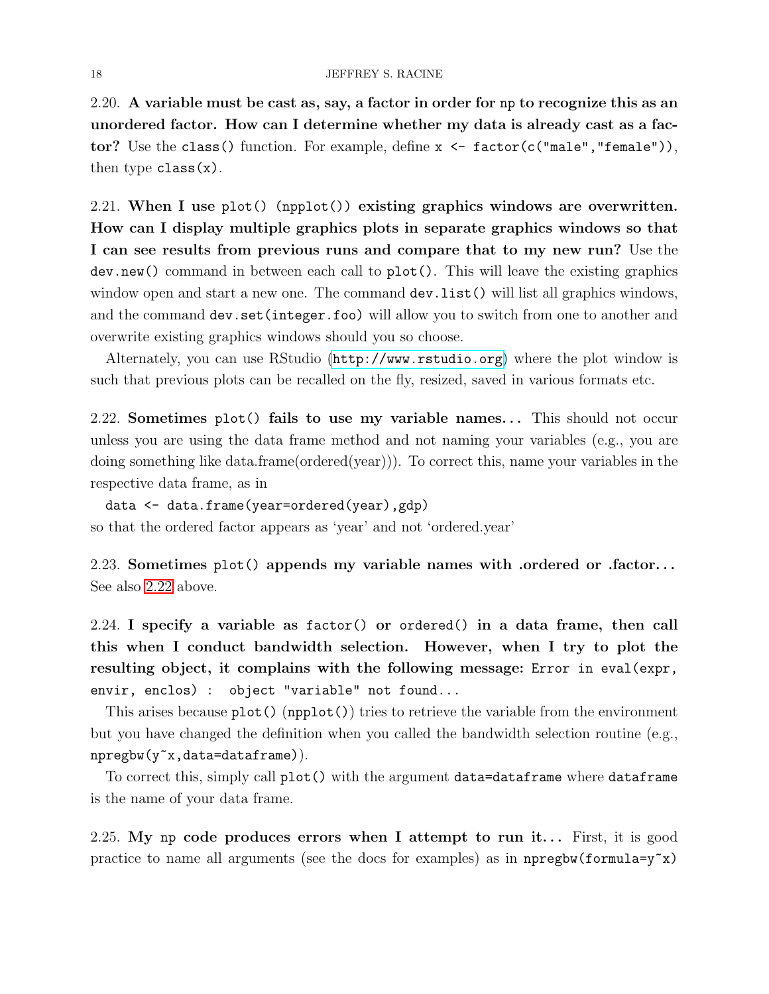#### 18 JEFFREY S. RACINE

<span id="page-17-0"></span>2.20. A variable must be cast as, say, a factor in order for np to recognize this as an unordered factor. How can I determine whether my data is already cast as a factor? Use the class() function. For example, define x <- factor(c("male","female")), then type  $class(x)$ .

<span id="page-17-1"></span>2.21. When I use plot() (npplot()) existing graphics windows are overwritten. How can I display multiple graphics plots in separate graphics windows so that I can see results from previous runs and compare that to my new run? Use the dev.new() command in between each call to plot(). This will leave the existing graphics window open and start a new one. The command dev. list() will list all graphics windows, and the command dev.set(integer.foo) will allow you to switch from one to another and overwrite existing graphics windows should you so choose.

Alternately, you can use RStudio (<http://www.rstudio.org>) where the plot window is such that previous plots can be recalled on the fly, resized, saved in various formats etc.

<span id="page-17-2"></span>2.22. Sometimes plot() fails to use my variable names... This should not occur unless you are using the data frame method and not naming your variables (e.g., you are doing something like data.frame(ordered(year))). To correct this, name your variables in the respective data frame, as in

```
data <- data.frame(year=ordered(year),gdp)
```
so that the ordered factor appears as 'year' and not 'ordered.year'

<span id="page-17-3"></span>2.23. Sometimes plot() appends my variable names with .ordered or .factor... See also [2.22](#page-17-2) above.

<span id="page-17-4"></span>2.24. I specify a variable as factor() or ordered() in a data frame, then call this when I conduct bandwidth selection. However, when I try to plot the resulting object, it complains with the following message: Error in eval(expr, envir, enclos) : object "variable" not found...

This arises because  $plot()$  (npplot()) tries to retrieve the variable from the environment but you have changed the definition when you called the bandwidth selection routine (e.g.,  $n$ pregbw $(y^{\sim}x,data=dataframe)$ ).

To correct this, simply call plot() with the argument data=dataframe where dataframe is the name of your data frame.

<span id="page-17-5"></span>2.25. My np code produces errors when I attempt to run it... First, it is good practice to name all arguments (see the docs for examples) as in npregbw(formula= $y^x$ x)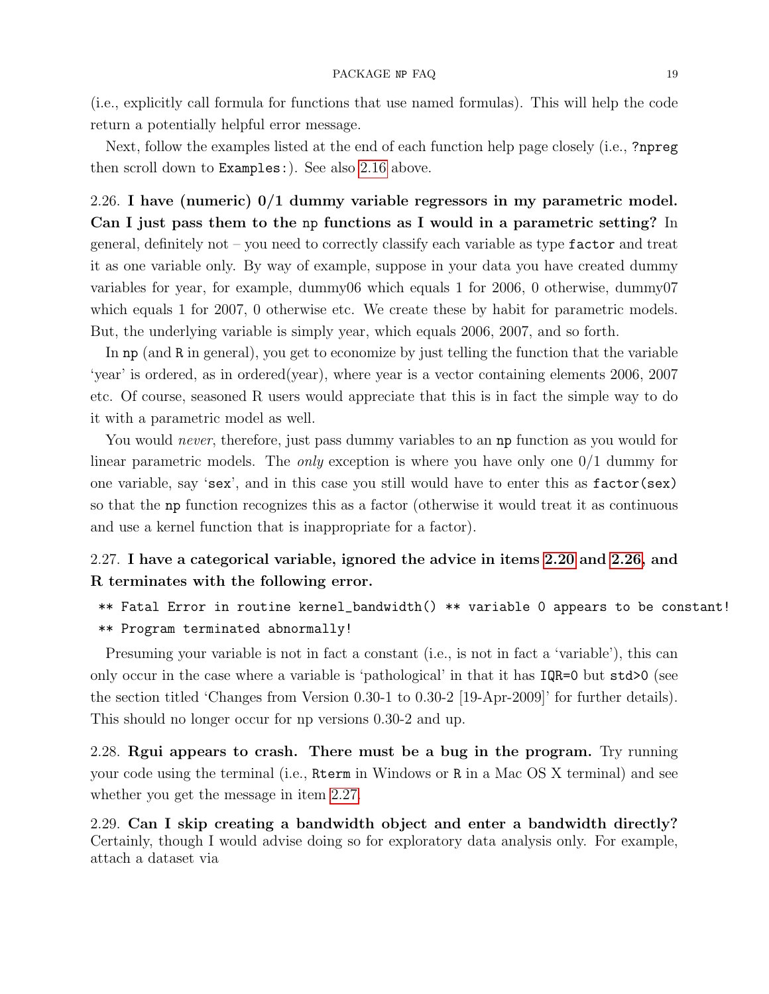(i.e., explicitly call formula for functions that use named formulas). This will help the code return a potentially helpful error message.

Next, follow the examples listed at the end of each function help page closely (i.e., ?npreg then scroll down to Examples:). See also [2.16](#page-15-1) above.

<span id="page-18-0"></span>2.26. I have (numeric) 0/1 dummy variable regressors in my parametric model. Can I just pass them to the np functions as I would in a parametric setting? In general, definitely not – you need to correctly classify each variable as type factor and treat it as one variable only. By way of example, suppose in your data you have created dummy variables for year, for example, dummy06 which equals 1 for 2006, 0 otherwise, dummy07 which equals 1 for 2007, 0 otherwise etc. We create these by habit for parametric models. But, the underlying variable is simply year, which equals 2006, 2007, and so forth.

In np (and R in general), you get to economize by just telling the function that the variable 'year' is ordered, as in ordered(year), where year is a vector containing elements 2006, 2007 etc. Of course, seasoned R users would appreciate that this is in fact the simple way to do it with a parametric model as well.

You would *never*, therefore, just pass dummy variables to an **np** function as you would for linear parametric models. The *only* exception is where you have only one  $0/1$  dummy for one variable, say 'sex', and in this case you still would have to enter this as factor(sex) so that the np function recognizes this as a factor (otherwise it would treat it as continuous and use a kernel function that is inappropriate for a factor).

## <span id="page-18-1"></span>2.27. I have a categorical variable, ignored the advice in items [2.20](#page-17-0) and [2.26,](#page-18-0) and R terminates with the following error.

\*\* Fatal Error in routine kernel\_bandwidth() \*\* variable 0 appears to be constant! \*\* Program terminated abnormally!

Presuming your variable is not in fact a constant (i.e., is not in fact a 'variable'), this can only occur in the case where a variable is 'pathological' in that it has IQR=0 but std>0 (see the section titled 'Changes from Version 0.30-1 to 0.30-2 [19-Apr-2009]' for further details). This should no longer occur for np versions 0.30-2 and up.

<span id="page-18-2"></span>2.28. Rgui appears to crash. There must be a bug in the program. Try running your code using the terminal (i.e., Rterm in Windows or R in a Mac OS X terminal) and see whether you get the message in item [2.27.](#page-18-1)

<span id="page-18-3"></span>2.29. Can I skip creating a bandwidth object and enter a bandwidth directly? Certainly, though I would advise doing so for exploratory data analysis only. For example, attach a dataset via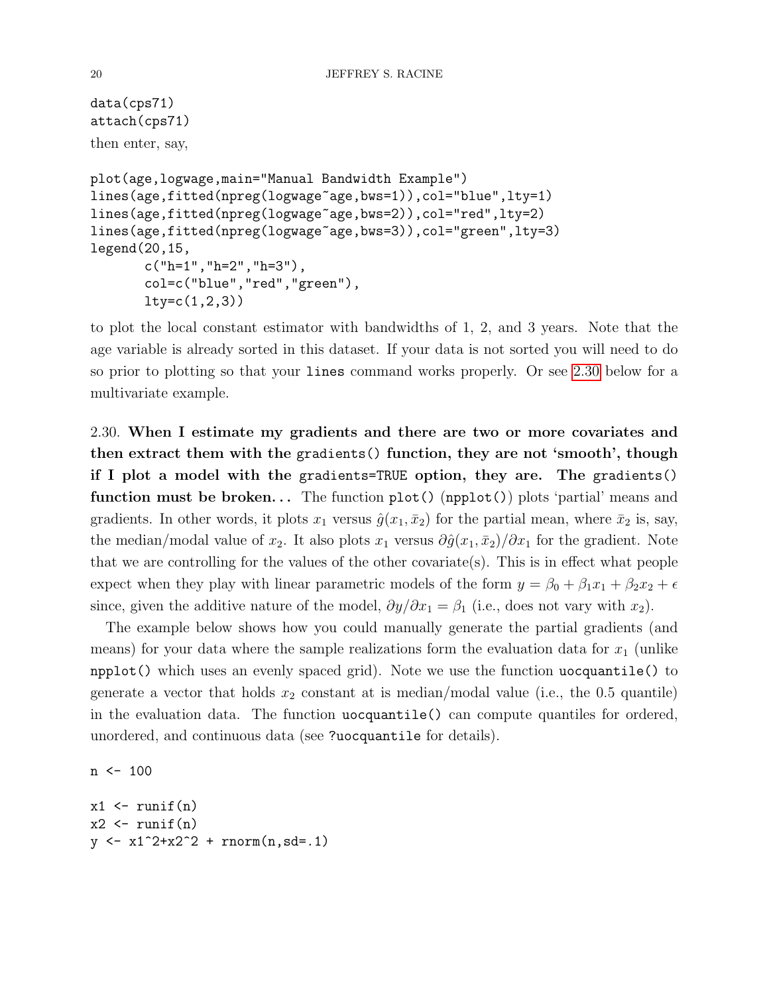```
data(cps71)
attach(cps71)
then enter, say,
```

```
plot(age,logwage,main="Manual Bandwidth Example")
lines(age,fitted(npreg(logwage~age,bws=1)),col="blue",lty=1)
lines(age,fitted(npreg(logwage~age,bws=2)),col="red",lty=2)
lines(age,fitted(npreg(logwage~age,bws=3)),col="green",lty=3)
legend(20,15,
       c("h=1", "h=2", "h=3"),
       col=c("blue","red","green"),
       lty=c(1,2,3)
```
to plot the local constant estimator with bandwidths of 1, 2, and 3 years. Note that the age variable is already sorted in this dataset. If your data is not sorted you will need to do so prior to plotting so that your lines command works properly. Or see [2.30](#page-19-0) below for a multivariate example.

<span id="page-19-0"></span>2.30. When I estimate my gradients and there are two or more covariates and then extract them with the gradients() function, they are not 'smooth', though if I plot a model with the gradients=TRUE option, they are. The gradients() function must be broken... The function  $plot() (npplot())$  plots 'partial' means and gradients. In other words, it plots  $x_1$  versus  $\hat{g}(x_1, \bar{x}_2)$  for the partial mean, where  $\bar{x}_2$  is, say, the median/modal value of  $x_2$ . It also plots  $x_1$  versus  $\partial \hat{g}(x_1, \bar{x}_2)/\partial x_1$  for the gradient. Note that we are controlling for the values of the other covariate(s). This is in effect what people expect when they play with linear parametric models of the form  $y = \beta_0 + \beta_1 x_1 + \beta_2 x_2 + \epsilon$ since, given the additive nature of the model,  $\partial y/\partial x_1 = \beta_1$  (i.e., does not vary with  $x_2$ ).

The example below shows how you could manually generate the partial gradients (and means) for your data where the sample realizations form the evaluation data for  $x_1$  (unlike npplot() which uses an evenly spaced grid). Note we use the function uocquantile() to generate a vector that holds  $x_2$  constant at is median/modal value (i.e., the 0.5 quantile) in the evaluation data. The function uocquantile() can compute quantiles for ordered, unordered, and continuous data (see ?uocquantile for details).

 $n \le -100$ 

```
x1 \leftarrow runif(n)x2 \leftarrow runif(n)y \leftarrow x1^2+x2^2 + \text{rnorm}(n, sd=.1)
```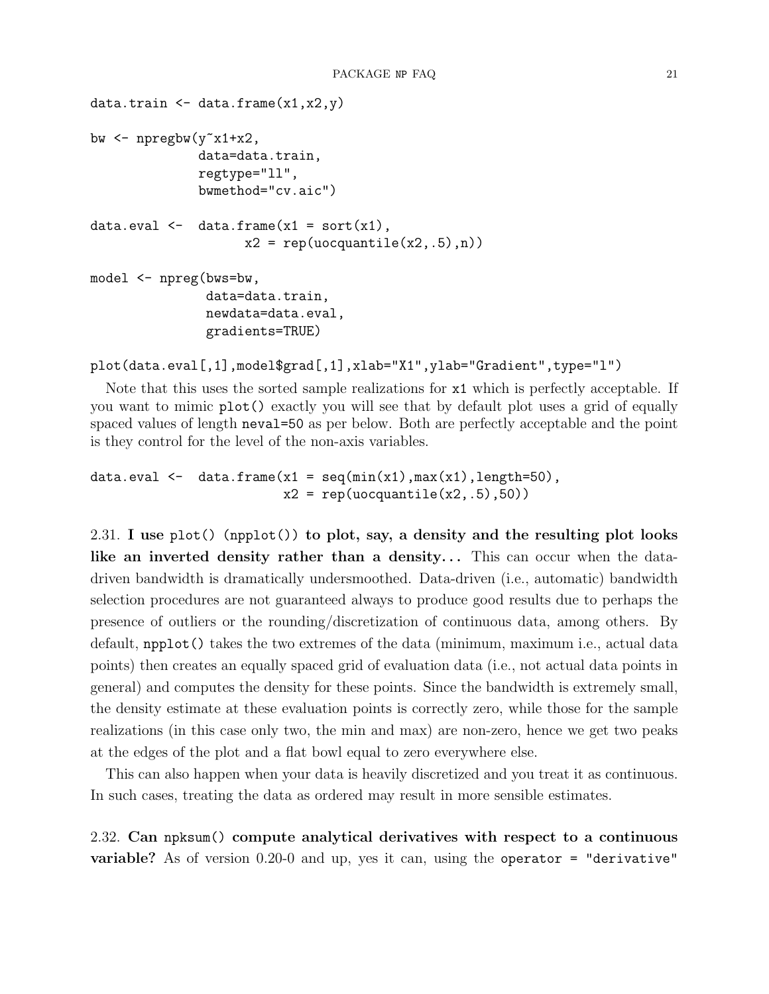```
data.train \leq data.frame(x1, x2, y)bw <- npregbw(y~x1+x2,
              data=data.train,
              regtype="ll",
              bwmethod="cv.aic")
data.eval \leq data.frame(x1 = sort(x1),
                    x2 = rep(uocquantile(x2, .5), n))model <- npreg(bws=bw,
               data=data.train,
               newdata=data.eval,
               gradients=TRUE)
```

```
plot(data.eval[,1],model$grad[,1],xlab="X1",ylab="Gradient",type="l")
```
Note that this uses the sorted sample realizations for x1 which is perfectly acceptable. If you want to mimic plot() exactly you will see that by default plot uses a grid of equally spaced values of length neval=50 as per below. Both are perfectly acceptable and the point is they control for the level of the non-axis variables.

```
data.eval \leq data.frame(x1 = seq(min(x1), max(x1), length=50),
                          x2 = rep(uocquantile(x2, .5), 50))
```
<span id="page-20-0"></span>2.31. I use  $plot()$  (npplot()) to plot, say, a density and the resulting plot looks like an inverted density rather than a density... This can occur when the datadriven bandwidth is dramatically undersmoothed. Data-driven (i.e., automatic) bandwidth selection procedures are not guaranteed always to produce good results due to perhaps the presence of outliers or the rounding/discretization of continuous data, among others. By default, npplot() takes the two extremes of the data (minimum, maximum i.e., actual data points) then creates an equally spaced grid of evaluation data (i.e., not actual data points in general) and computes the density for these points. Since the bandwidth is extremely small, the density estimate at these evaluation points is correctly zero, while those for the sample realizations (in this case only two, the min and max) are non-zero, hence we get two peaks at the edges of the plot and a flat bowl equal to zero everywhere else.

This can also happen when your data is heavily discretized and you treat it as continuous. In such cases, treating the data as ordered may result in more sensible estimates.

<span id="page-20-1"></span>2.32. Can npksum() compute analytical derivatives with respect to a continuous variable? As of version 0.20-0 and up, yes it can, using the operator = "derivative"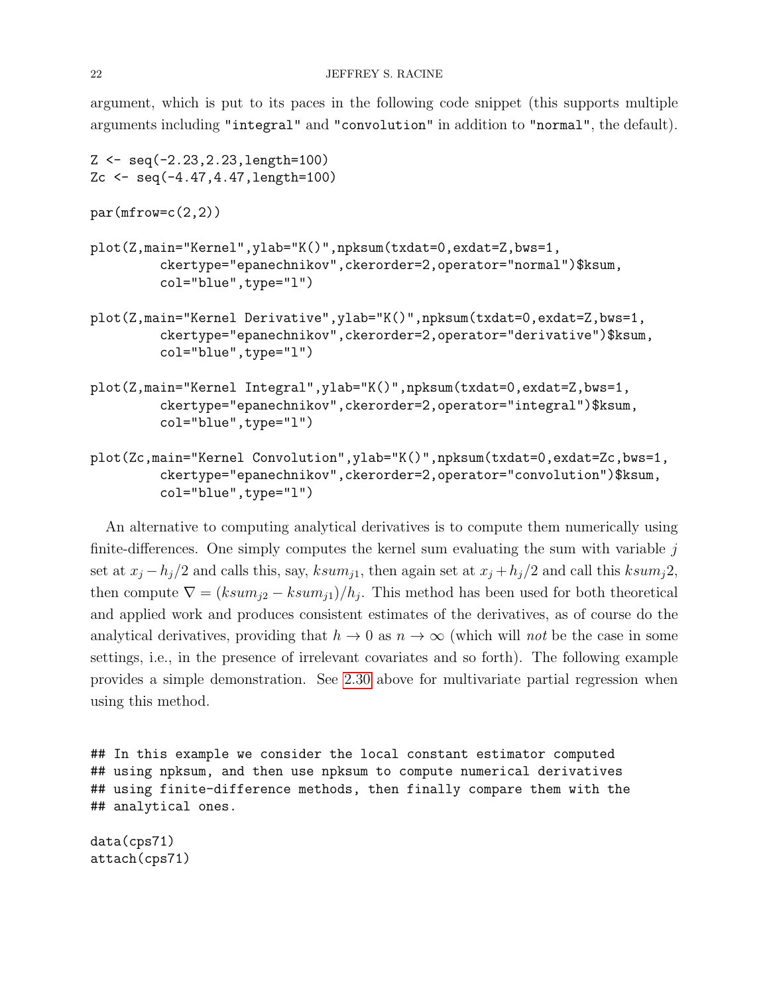argument, which is put to its paces in the following code snippet (this supports multiple arguments including "integral" and "convolution" in addition to "normal", the default).

```
Z <- seq(-2.23,2.23,length=100)
Zc <- seq(-4.47,4.47,length=100)
par(mfrow=c(2,2))plot(Z,main="Kernel",ylab="K()",npksum(txdat=0,exdat=Z,bws=1,
         ckertype="epanechnikov",ckerorder=2,operator="normal")$ksum,
         col="blue",type="l")
plot(Z,main="Kernel Derivative",ylab="K()",npksum(txdat=0,exdat=Z,bws=1,
         ckertype="epanechnikov",ckerorder=2,operator="derivative")$ksum,
         col="blue",type="l")
plot(Z,main="Kernel Integral",ylab="K()",npksum(txdat=0,exdat=Z,bws=1,
         ckertype="epanechnikov",ckerorder=2,operator="integral")$ksum,
         col="blue",type="l")
plot(Zc,main="Kernel Convolution",ylab="K()",npksum(txdat=0,exdat=Zc,bws=1,
         ckertype="epanechnikov",ckerorder=2,operator="convolution")$ksum,
         col="blue",type="l")
```
An alternative to computing analytical derivatives is to compute them numerically using finite-differences. One simply computes the kernel sum evaluating the sum with variable  $j$ set at  $x_i - h_i/2$  and calls this, say,  $ksum_{i1}$ , then again set at  $x_i + h_i/2$  and call this  $ksum_i 2$ , then compute  $\nabla = (ksum_{j2} - ksum_{j1})/h_j$ . This method has been used for both theoretical and applied work and produces consistent estimates of the derivatives, as of course do the analytical derivatives, providing that  $h \to 0$  as  $n \to \infty$  (which will not be the case in some settings, i.e., in the presence of irrelevant covariates and so forth). The following example provides a simple demonstration. See [2.30](#page-19-0) above for multivariate partial regression when using this method.

## In this example we consider the local constant estimator computed ## using npksum, and then use npksum to compute numerical derivatives ## using finite-difference methods, then finally compare them with the ## analytical ones.

data(cps71) attach(cps71)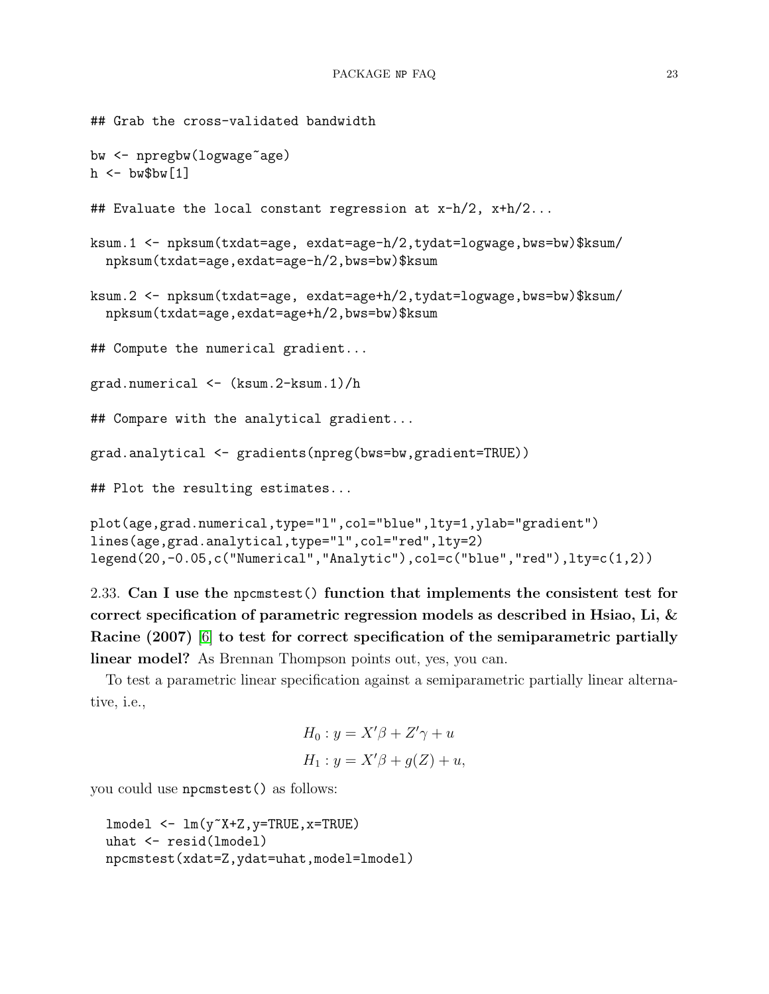```
## Grab the cross-validated bandwidth
bw <- npregbw(logwage~age)
h \leq - bw$bw[1]
## Evaluate the local constant regression at x-h/2, x+h/2...
ksum.1 <- npksum(txdat=age, exdat=age-h/2,tydat=logwage,bws=bw)$ksum/
 npksum(txdat=age,exdat=age-h/2,bws=bw)$ksum
ksum.2 <- npksum(txdat=age, exdat=age+h/2,tydat=logwage,bws=bw)$ksum/
 npksum(txdat=age,exdat=age+h/2,bws=bw)$ksum
## Compute the numerical gradient...
grad.numerical <- (ksum.2-ksum.1)/h
## Compare with the analytical gradient...
grad.analytical <- gradients(npreg(bws=bw,gradient=TRUE))
## Plot the resulting estimates...
plot(age,grad.numerical,type="l",col="blue",lty=1,ylab="gradient")
lines(age,grad.analytical,type="l",col="red",lty=2)
```

```
legend(20,-0.05,c("Numerical","Analytic"),col=c("blue","red"),lty=c(1,2))
```
<span id="page-22-0"></span>2.33. Can I use the npcmstest() function that implements the consistent test for correct specification of parametric regression models as described in Hsiao, Li, & Racine (2007) [\[6\]](#page-34-0) to test for correct specification of the semiparametric partially linear model? As Brennan Thompson points out, yes, you can.

To test a parametric linear specification against a semiparametric partially linear alternative, i.e.,

$$
H_0: y = X'\beta + Z'\gamma + u
$$
  

$$
H_1: y = X'\beta + g(Z) + u,
$$

you could use npcmstest() as follows:

```
lmodel <- lm(y~X+Z,y=TRUE,x=TRUE)
uhat <- resid(lmodel)
npcmstest(xdat=Z,ydat=uhat,model=lmodel)
```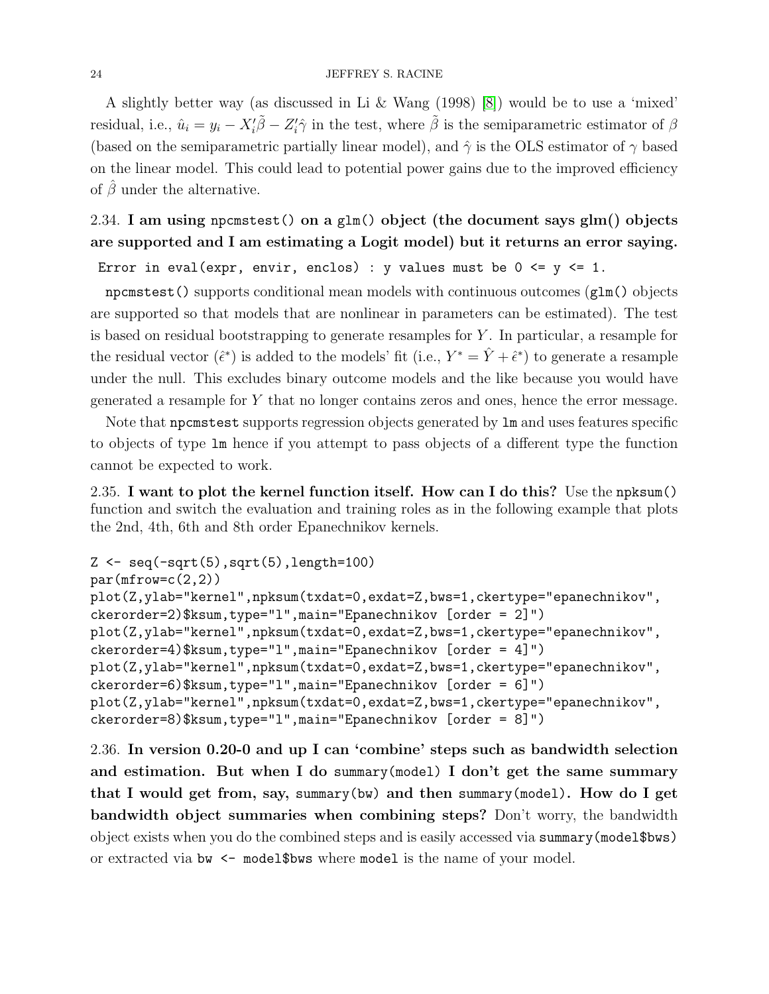#### 24 JEFFREY S. RACINE

A slightly better way (as discussed in Li & Wang (1998) [\[8\]](#page-34-12)) would be to use a 'mixed' residual, i.e.,  $\hat{u}_i = y_i - X'_i \tilde{\beta} - Z'_i \hat{\gamma}$  in the test, where  $\tilde{\beta}$  is the semiparametric estimator of  $\beta$ (based on the semiparametric partially linear model), and  $\hat{\gamma}$  is the OLS estimator of  $\gamma$  based on the linear model. This could lead to potential power gains due to the improved efficiency of  $\beta$  under the alternative.

# <span id="page-23-0"></span>2.34. I am using npcmstest() on a glm() object (the document says glm() objects are supported and I am estimating a Logit model) but it returns an error saying.

Error in eval(expr, envir, enclos) : y values must be  $0 \le y \le 1$ .

npcmstest() supports conditional mean models with continuous outcomes (glm() objects are supported so that models that are nonlinear in parameters can be estimated). The test is based on residual bootstrapping to generate resamples for  $Y$ . In particular, a resample for the residual vector  $(\hat{\epsilon}^*)$  is added to the models' fit (i.e.,  $Y^* = \hat{Y} + \hat{\epsilon}^*$ ) to generate a resample under the null. This excludes binary outcome models and the like because you would have generated a resample for Y that no longer contains zeros and ones, hence the error message.

Note that npcmstest supports regression objects generated by lm and uses features specific to objects of type lm hence if you attempt to pass objects of a different type the function cannot be expected to work.

<span id="page-23-1"></span>2.35. I want to plot the kernel function itself. How can I do this? Use the npksum() function and switch the evaluation and training roles as in the following example that plots the 2nd, 4th, 6th and 8th order Epanechnikov kernels.

```
Z \leftarrow \text{seq}(-\text{sqrt}(5), \text{sqrt}(5), \text{length}=100)par(mfrow=c(2,2))plot(Z,ylab="kernel",npksum(txdat=0,exdat=Z,bws=1,ckertype="epanechnikov",
ckerorder=2)$ksum,type="l",main="Epanechnikov [order = 2]")
plot(Z,ylab="kernel",npksum(txdat=0,exdat=Z,bws=1,ckertype="epanechnikov",
ckerorder=4)$ksum,type="l",main="Epanechnikov [order = 4]")
plot(Z,ylab="kernel",npksum(txdat=0,exdat=Z,bws=1,ckertype="epanechnikov",
ckerorder=6)$ksum,type="l",main="Epanechnikov [order = 6]")
plot(Z,ylab="kernel",npksum(txdat=0,exdat=Z,bws=1,ckertype="epanechnikov",
ckerorder=8)$ksum,type="l",main="Epanechnikov [order = 8]")
```
<span id="page-23-2"></span>2.36. In version 0.20-0 and up I can 'combine' steps such as bandwidth selection and estimation. But when I do summary(model) I don't get the same summary that I would get from, say, summary(bw) and then summary(model). How do I get bandwidth object summaries when combining steps? Don't worry, the bandwidth object exists when you do the combined steps and is easily accessed via summary(model\$bws) or extracted via bw <- model\$bws where model is the name of your model.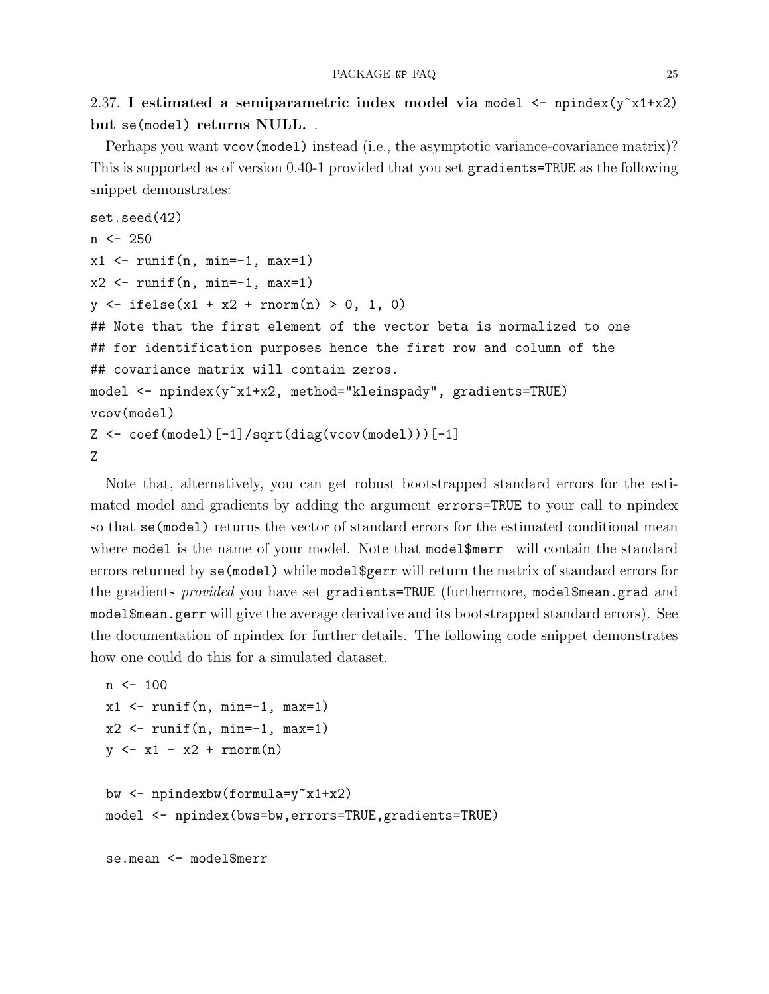<span id="page-24-0"></span>2.37. I estimated a semiparametric index model via model  $\leq$  npindex(y<sup> $\sim$ </sup>x1+x2) but se(model) returns NULL. .

Perhaps you want vcov(model) instead (i.e., the asymptotic variance-covariance matrix)? This is supported as of version 0.40-1 provided that you set gradients=TRUE as the following snippet demonstrates:

```
set.seed(42)
n \le -250x1 \leftarrow \text{runif}(n, \text{min}=-1, \text{max}=1)x2 \leftarrow runif(n, min=-1, max=1)y \leftarrow ifelse(x1 + x2 + rnorm(n) > 0, 1, 0)
## Note that the first element of the vector beta is normalized to one
## for identification purposes hence the first row and column of the
## covariance matrix will contain zeros.
model <- npindex(y~x1+x2, method="kleinspady", gradients=TRUE)
vcov(model)
Z \leftarrow coef(model)[-1]/sqrt(diag(vcov(model)))[-1]
Z
```
Note that, alternatively, you can get robust bootstrapped standard errors for the estimated model and gradients by adding the argument errors=TRUE to your call to npindex so that se(model) returns the vector of standard errors for the estimated conditional mean where model is the name of your model. Note that model\$merr will contain the standard errors returned by se(model) while model\$gerr will return the matrix of standard errors for the gradients *provided* you have set gradients=TRUE (furthermore, model\$mean.grad and model\$mean.gerr will give the average derivative and its bootstrapped standard errors). See the documentation of npindex for further details. The following code snippet demonstrates how one could do this for a simulated dataset.

```
n \le -100x1 \leftarrow \text{runif}(n, \text{min}=-1, \text{max}=1)x2 \leftarrow \text{runif}(n, \text{min}=-1, \text{max}=1)y \leftarrow x1 - x2 + \text{norm}(n)bw <- npindexbw(formula=y~x1+x2)
model <- npindex(bws=bw,errors=TRUE,gradients=TRUE)
se.mean <- model$merr
```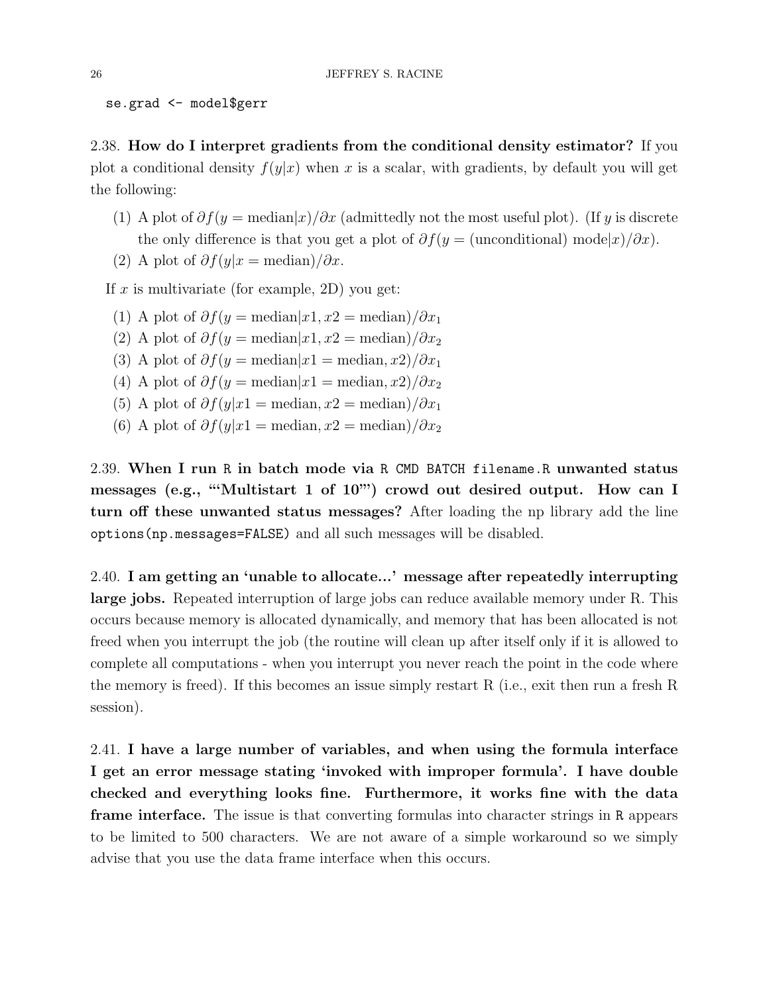se.grad <- model\$gerr

<span id="page-25-0"></span>2.38. How do I interpret gradients from the conditional density estimator? If you plot a conditional density  $f(y|x)$  when x is a scalar, with gradients, by default you will get the following:

- (1) A plot of  $\partial f(y = \text{median}|x)/\partial x$  (admittedly not the most useful plot). (If y is discrete the only difference is that you get a plot of  $\partial f(y = \text{(unconditional)} \text{ model } x)/\partial x)$ .
- (2) A plot of  $\partial f(y|x) = \text{median} / \partial x$ .

If  $x$  is multivariate (for example, 2D) you get:

- (1) A plot of  $\partial f(y)$  = median $|x_1, x_2|$  = median) $/\partial x_1$
- (2) A plot of  $\partial f(y)$  = median $|x_1, x_2|$  = median) $\partial x_2$
- (3) A plot of  $\partial f(y) = \text{median}|x_1| = \text{median}(x_1, x_2)/\partial x_1$
- (4) A plot of  $\partial f(y) = \text{median}|x_1| = \text{median}(x_1, x_2)/\partial x_2$
- (5) A plot of  $\partial f(y|x) = \text{median}, x^2 = \text{median}/\partial x_1$
- (6) A plot of  $\partial f(y|x) = \text{median}, x^2 = \text{median}/\partial x_2$

<span id="page-25-1"></span>2.39. When I run R in batch mode via R CMD BATCH filename.R unwanted status messages (e.g., "'Multistart 1 of 10"') crowd out desired output. How can I turn off these unwanted status messages? After loading the np library add the line options(np.messages=FALSE) and all such messages will be disabled.

<span id="page-25-2"></span>2.40. I am getting an 'unable to allocate...' message after repeatedly interrupting large jobs. Repeated interruption of large jobs can reduce available memory under R. This occurs because memory is allocated dynamically, and memory that has been allocated is not freed when you interrupt the job (the routine will clean up after itself only if it is allowed to complete all computations - when you interrupt you never reach the point in the code where the memory is freed). If this becomes an issue simply restart R (i.e., exit then run a fresh R session).

<span id="page-25-3"></span>2.41. I have a large number of variables, and when using the formula interface I get an error message stating 'invoked with improper formula'. I have double checked and everything looks fine. Furthermore, it works fine with the data frame interface. The issue is that converting formulas into character strings in R appears to be limited to 500 characters. We are not aware of a simple workaround so we simply advise that you use the data frame interface when this occurs.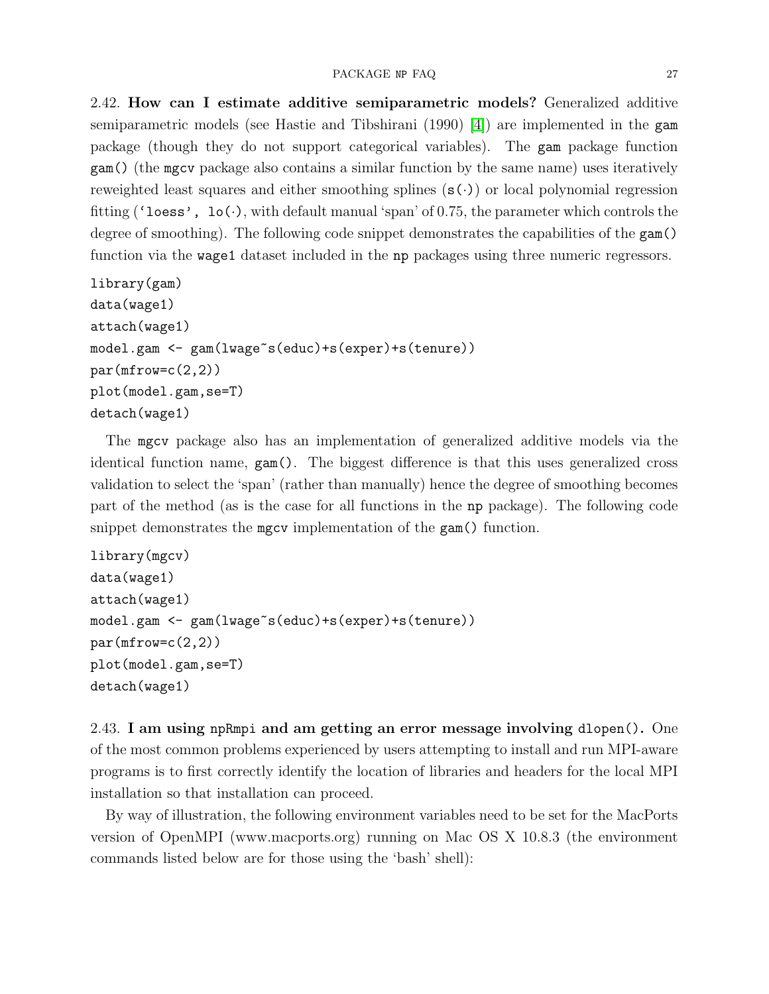<span id="page-26-0"></span>2.42. How can I estimate additive semiparametric models? Generalized additive semiparametric models (see Hastie and Tibshirani (1990) [\[4\]](#page-34-13)) are implemented in the gam package (though they do not support categorical variables). The gam package function gam() (the mgcv package also contains a similar function by the same name) uses iteratively reweighted least squares and either smoothing splines  $(s(\cdot))$  or local polynomial regression fitting ('loess', lo(.), with default manual 'span' of 0.75, the parameter which controls the degree of smoothing). The following code snippet demonstrates the capabilities of the gam() function via the wage1 dataset included in the np packages using three numeric regressors.

```
library(gam)
data(wage1)
attach(wage1)
model.gam <- gam(lwage~s(educ)+s(exper)+s(tenure))
par(mfrow=c(2,2))plot(model.gam,se=T)
detach(wage1)
```
The mgcv package also has an implementation of generalized additive models via the identical function name, gam(). The biggest difference is that this uses generalized cross validation to select the 'span' (rather than manually) hence the degree of smoothing becomes part of the method (as is the case for all functions in the np package). The following code snippet demonstrates the mgcv implementation of the gam() function.

```
library(mgcv)
data(wage1)
attach(wage1)
model.gam <- gam(lwage~s(educ)+s(exper)+s(tenure))
par(mfrow=c(2,2))plot(model.gam,se=T)
detach(wage1)
```
<span id="page-26-1"></span>2.43. I am using npRmpi and am getting an error message involving dlopen(). One of the most common problems experienced by users attempting to install and run MPI-aware programs is to first correctly identify the location of libraries and headers for the local MPI installation so that installation can proceed.

By way of illustration, the following environment variables need to be set for the MacPorts version of OpenMPI (www.macports.org) running on Mac OS X 10.8.3 (the environment commands listed below are for those using the 'bash' shell):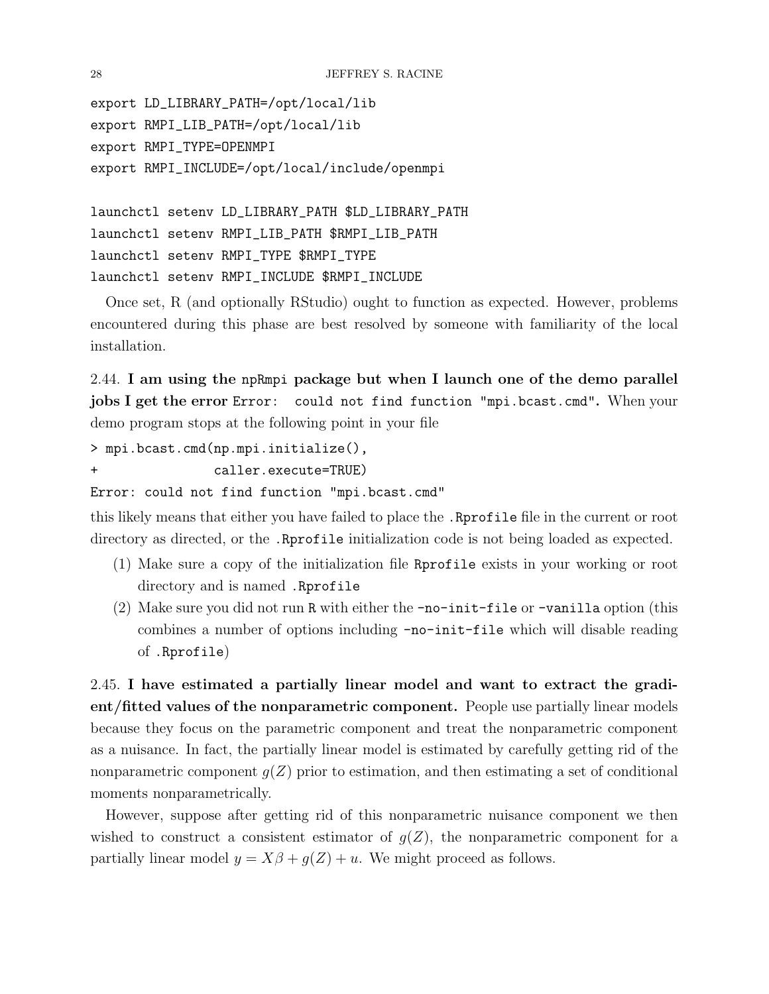```
export LD_LIBRARY_PATH=/opt/local/lib
export RMPI_LIB_PATH=/opt/local/lib
export RMPI_TYPE=OPENMPI
export RMPI_INCLUDE=/opt/local/include/openmpi
launchctl setenv LD_LIBRARY_PATH $LD_LIBRARY_PATH
launchctl setenv RMPI_LIB_PATH $RMPI_LIB_PATH
launchctl setenv RMPI_TYPE $RMPI_TYPE
```
launchctl setenv RMPI\_INCLUDE \$RMPI\_INCLUDE

Once set, R (and optionally RStudio) ought to function as expected. However, problems encountered during this phase are best resolved by someone with familiarity of the local installation.

<span id="page-27-0"></span>2.44. I am using the npRmpi package but when I launch one of the demo parallel jobs I get the error Error: could not find function "mpi.bcast.cmd". When your demo program stops at the following point in your file

> mpi.bcast.cmd(np.mpi.initialize(), + caller.execute=TRUE)

Error: could not find function "mpi.bcast.cmd"

this likely means that either you have failed to place the .Rprofile file in the current or root directory as directed, or the .Rprofile initialization code is not being loaded as expected.

- (1) Make sure a copy of the initialization file Rprofile exists in your working or root directory and is named .Rprofile
- (2) Make sure you did not run R with either the -no-init-file or -vanilla option (this combines a number of options including -no-init-file which will disable reading of .Rprofile)

<span id="page-27-1"></span>2.45. I have estimated a partially linear model and want to extract the gradient/fitted values of the nonparametric component. People use partially linear models because they focus on the parametric component and treat the nonparametric component as a nuisance. In fact, the partially linear model is estimated by carefully getting rid of the nonparametric component  $g(Z)$  prior to estimation, and then estimating a set of conditional moments nonparametrically.

However, suppose after getting rid of this nonparametric nuisance component we then wished to construct a consistent estimator of  $g(Z)$ , the nonparametric component for a partially linear model  $y = X\beta + g(Z) + u$ . We might proceed as follows.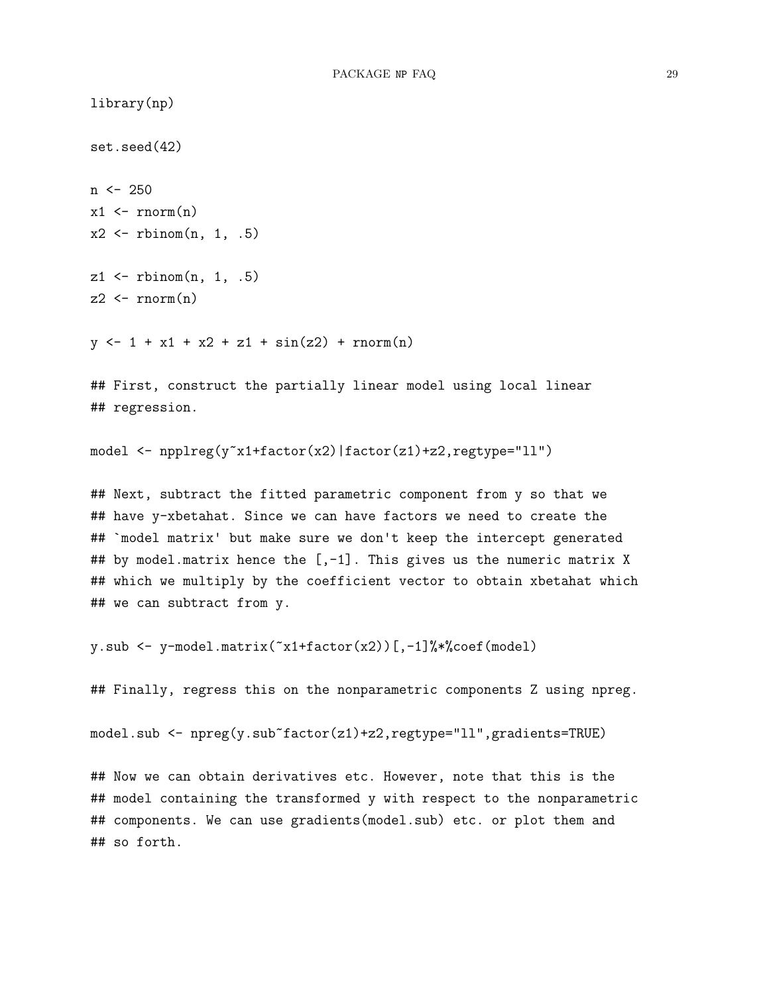```
library(np)
set.seed(42)
n \le -250x1 \leftarrow \text{rnorm}(n)x2 \leftarrow rbinom(n, 1, .5)z1 \leftarrow rbinom(n, 1, .5)z2 \leftarrow \text{norm}(n)y \leftarrow 1 + x1 + x2 + z1 + \sin(z2) + \text{norm}(n)## First, construct the partially linear model using local linear
## regression.
model <- npplreg(y~x1+factor(x2)|factor(z1)+z2,regtype="ll")
## Next, subtract the fitted parametric component from y so that we
## have y-xbetahat. Since we can have factors we need to create the
## `model matrix' but make sure we don't keep the intercept generated
## by model.matrix hence the [-1]. This gives us the numeric matrix X
## which we multiply by the coefficient vector to obtain xbetahat which
## we can subtract from y.
y.sub \leq y-model.matrix(\infty1+factor(x2))[,-1]%*%coef(model)
## Finally, regress this on the nonparametric components Z using npreg.
model.sub <- npreg(y.sub~factor(z1)+z2,regtype="ll",gradients=TRUE)
```
## Now we can obtain derivatives etc. However, note that this is the ## model containing the transformed y with respect to the nonparametric ## components. We can use gradients(model.sub) etc. or plot them and ## so forth.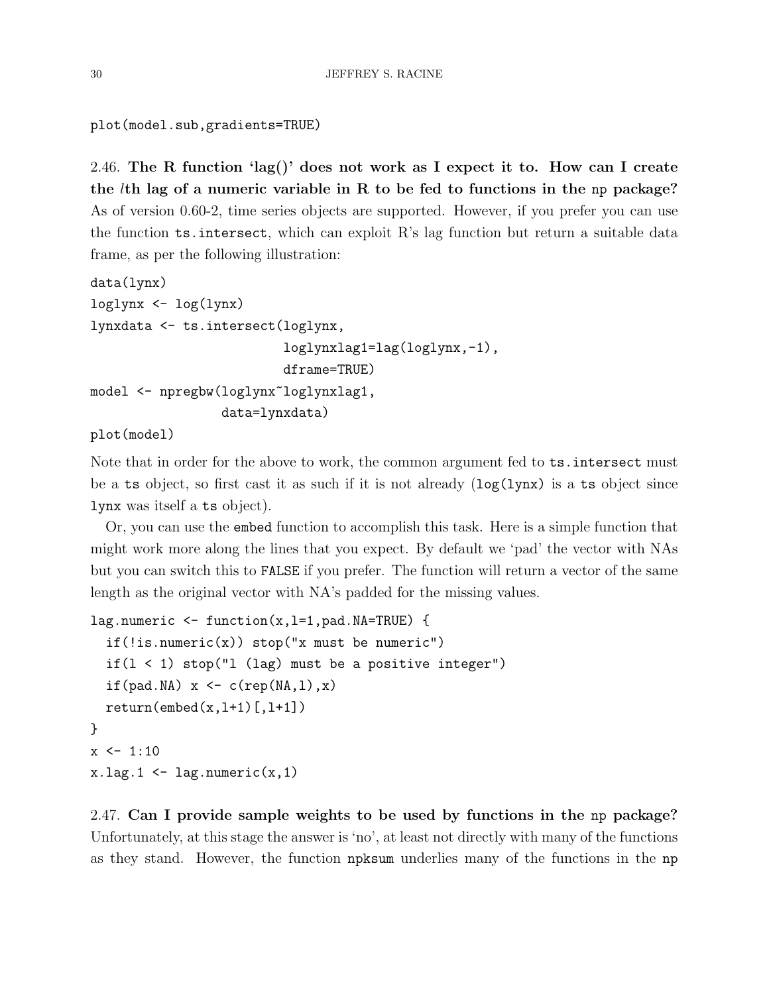plot(model.sub,gradients=TRUE)

<span id="page-29-0"></span>2.46. The R function 'lag()' does not work as I expect it to. How can I create the  $l$ th lag of a numeric variable in R to be fed to functions in the np package? As of version 0.60-2, time series objects are supported. However, if you prefer you can use the function ts.intersect, which can exploit R's lag function but return a suitable data frame, as per the following illustration:

```
data(lynx)
loglynx <- log(lynx)
lynxdata <- ts.intersect(loglynx,
                         loglynxlag1=lag(loglynx,-1),
                         dframe=TRUE)
model <- npregbw(loglynx~loglynxlag1,
                 data=lynxdata)
```
## plot(model)

Note that in order for the above to work, the common argument fed to  $ts$ . intersect must be a ts object, so first cast it as such if it is not already  $(\log(1) \text{ynx})$  is a ts object since lynx was itself a ts object).

Or, you can use the embed function to accomplish this task. Here is a simple function that might work more along the lines that you expect. By default we 'pad' the vector with NAs but you can switch this to FALSE if you prefer. The function will return a vector of the same length as the original vector with NA's padded for the missing values.

```
lag.numeric <- function(x,l=1,pad.NA=TRUE) {
  if(!is.numeric(x)) stop("x must be numeric")if(1 < 1) stop("1 (lag) must be a positive integer")
  if(pad.NA) x \leftarrow c(rep(NA,1),x)return(embed(x, l+1) [, l+1])}
x \leftarrow 1:10x.lag.1 \leftarrow lag.numeric(x,1)
```
<span id="page-29-1"></span>2.47. Can I provide sample weights to be used by functions in the np package? Unfortunately, at this stage the answer is 'no', at least not directly with many of the functions as they stand. However, the function npksum underlies many of the functions in the np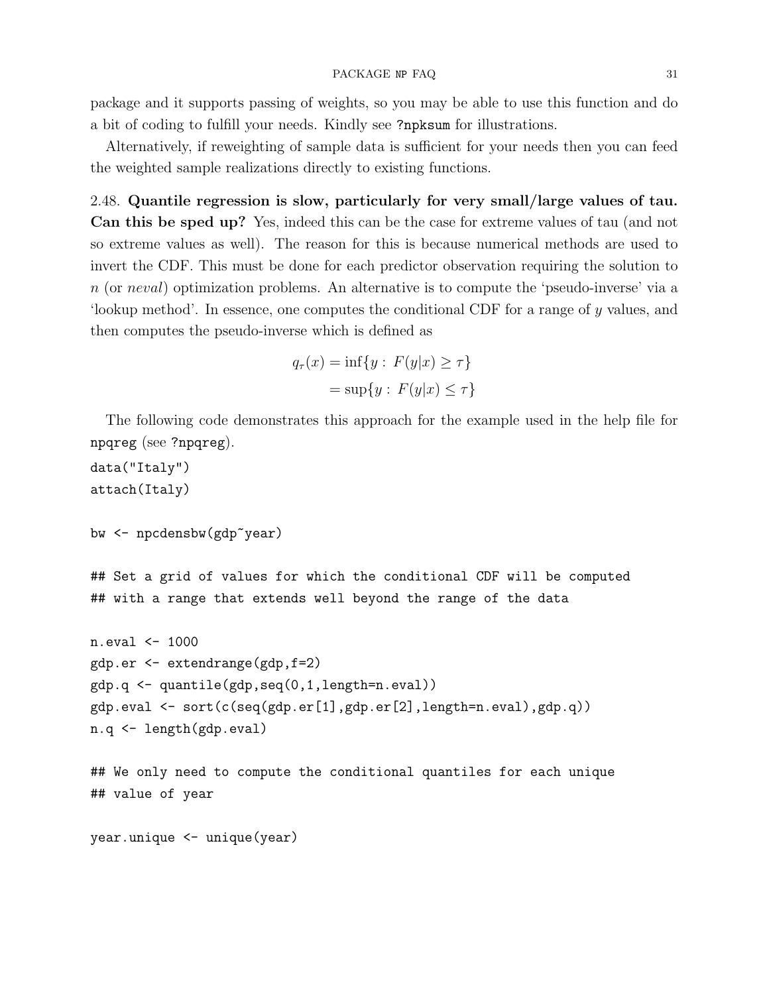#### PACKAGE NP FAQ 31

package and it supports passing of weights, so you may be able to use this function and do a bit of coding to fulfill your needs. Kindly see ?npksum for illustrations.

Alternatively, if reweighting of sample data is sufficient for your needs then you can feed the weighted sample realizations directly to existing functions.

<span id="page-30-0"></span>2.48. Quantile regression is slow, particularly for very small/large values of tau. Can this be sped up? Yes, indeed this can be the case for extreme values of tau (and not so extreme values as well). The reason for this is because numerical methods are used to invert the CDF. This must be done for each predictor observation requiring the solution to n (or neval) optimization problems. An alternative is to compute the 'pseudo-inverse' via a 'lookup method'. In essence, one computes the conditional CDF for a range of y values, and then computes the pseudo-inverse which is defined as

$$
q_{\tau}(x) = \inf\{y : F(y|x) \ge \tau\}
$$

$$
= \sup\{y : F(y|x) \le \tau\}
$$

The following code demonstrates this approach for the example used in the help file for npqreg (see ?npqreg).

```
data("Italy")
attach(Italy)
bw <- npcdensbw(gdp~year)
## Set a grid of values for which the conditional CDF will be computed
## with a range that extends well beyond the range of the data
n.eval <- 1000
gdp.er <- extendrange(gdp,f=2)
gdp.q <- quantile(gdp,seq(0,1,length=n.eval))
gdp.eval <- sort(c(seq(gdp.er[1],gdp.er[2],length=n.eval),gdp.q))
n.q <- length(gdp.eval)
## We only need to compute the conditional quantiles for each unique
## value of year
year.unique <- unique(year)
```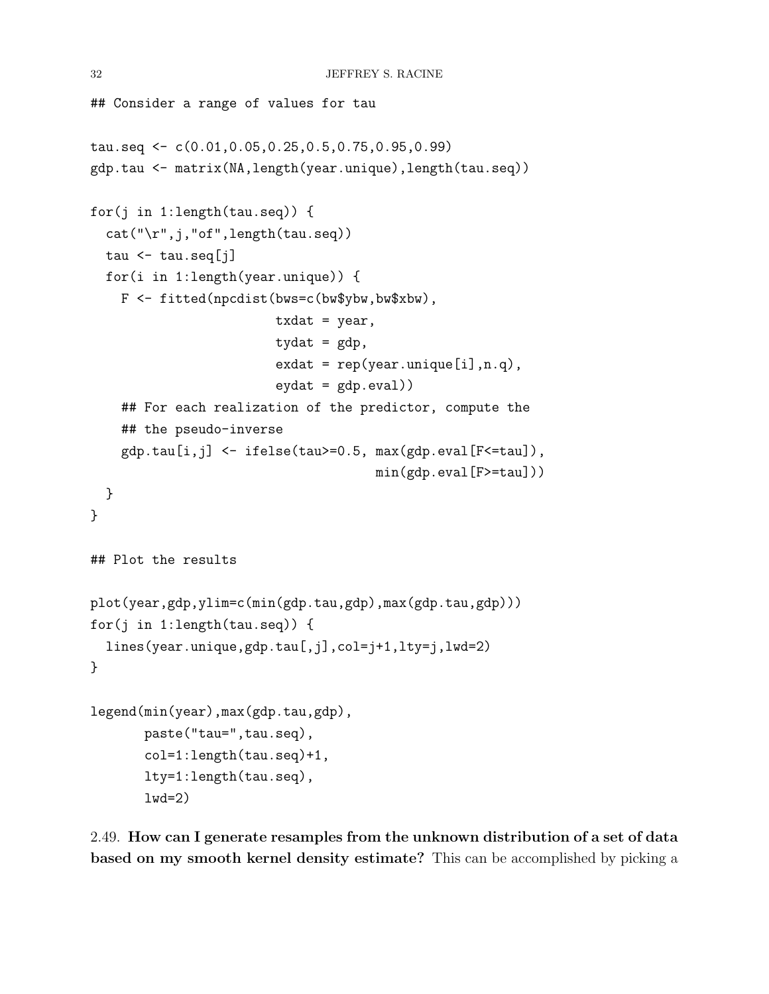```
## Consider a range of values for tau
tau.seq <- c(0.01,0.05,0.25,0.5,0.75,0.95,0.99)
gdp.tau <- matrix(NA,length(year.unique),length(tau.seq))
for(j in 1:length(tau.seq)) {
  cat("\r",j,"of",length(tau.seq))
  tau \leftarrow tau.seq[j]
  for(i in 1:length(year.unique)) {
    F <- fitted(npcdist(bws=c(bw$ybw,bw$xbw),
                         \texttt{txdat} = \texttt{year},tydat = gdp,
                         ext = rep(year.unique[i], n.q),eydat = gdp.eval))
    ## For each realization of the predictor, compute the
    ## the pseudo-inverse
    gdp.tau[i,j] <- ifelse(tau>=0.5, max(gdp.eval[F<=tau]),
                                      min(gdp.eval[F>=tau]))
 }
}
## Plot the results
plot(year,gdp,ylim=c(min(gdp.tau,gdp),max(gdp.tau,gdp)))
for(j in 1:length(tau.seq)) {
  lines(year.unique,gdp.tau[,j],col=j+1,lty=j,lwd=2)
}
legend(min(year),max(gdp.tau,gdp),
       paste("tau=",tau.seq),
       col=1:length(tau.seq)+1,
       lty=1:length(tau.seq),
       1wd=2)
```
<span id="page-31-0"></span>2.49. How can I generate resamples from the unknown distribution of a set of data based on my smooth kernel density estimate? This can be accomplished by picking a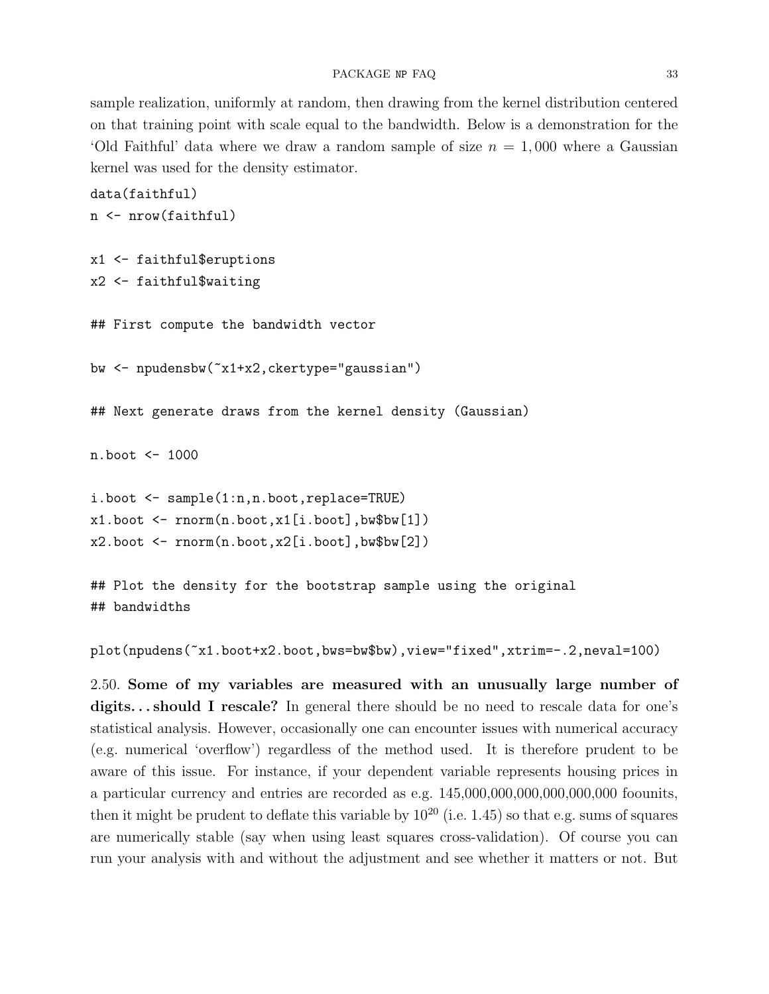sample realization, uniformly at random, then drawing from the kernel distribution centered on that training point with scale equal to the bandwidth. Below is a demonstration for the 'Old Faithful' data where we draw a random sample of size  $n = 1,000$  where a Gaussian kernel was used for the density estimator.

```
data(faithful)
n <- nrow(faithful)
```

```
x1 <- faithful$eruptions
x2 <- faithful$waiting
```
## First compute the bandwidth vector

```
bw <- npudensbw(~x1+x2,ckertype="gaussian")
```
## Next generate draws from the kernel density (Gaussian)

n.boot <- 1000

```
i.boot <- sample(1:n,n.boot,replace=TRUE)
x1.boot \leq rnorm(n.boot,x1[i.boot],bw$bw[1])
x2.boot \leq rnorm(n.boot,x2[i.boot],bw$bw[2])
```
## Plot the density for the bootstrap sample using the original ## bandwidths

plot(npudens(~x1.boot+x2.boot,bws=bw\$bw),view="fixed",xtrim=-.2,neval=100)

<span id="page-32-0"></span>2.50. Some of my variables are measured with an unusually large number of digits... should I rescale? In general there should be no need to rescale data for one's statistical analysis. However, occasionally one can encounter issues with numerical accuracy (e.g. numerical 'overflow') regardless of the method used. It is therefore prudent to be aware of this issue. For instance, if your dependent variable represents housing prices in a particular currency and entries are recorded as e.g. 145,000,000,000,000,000,000 foounits, then it might be prudent to deflate this variable by  $10^{20}$  (i.e. 1.45) so that e.g. sums of squares are numerically stable (say when using least squares cross-validation). Of course you can run your analysis with and without the adjustment and see whether it matters or not. But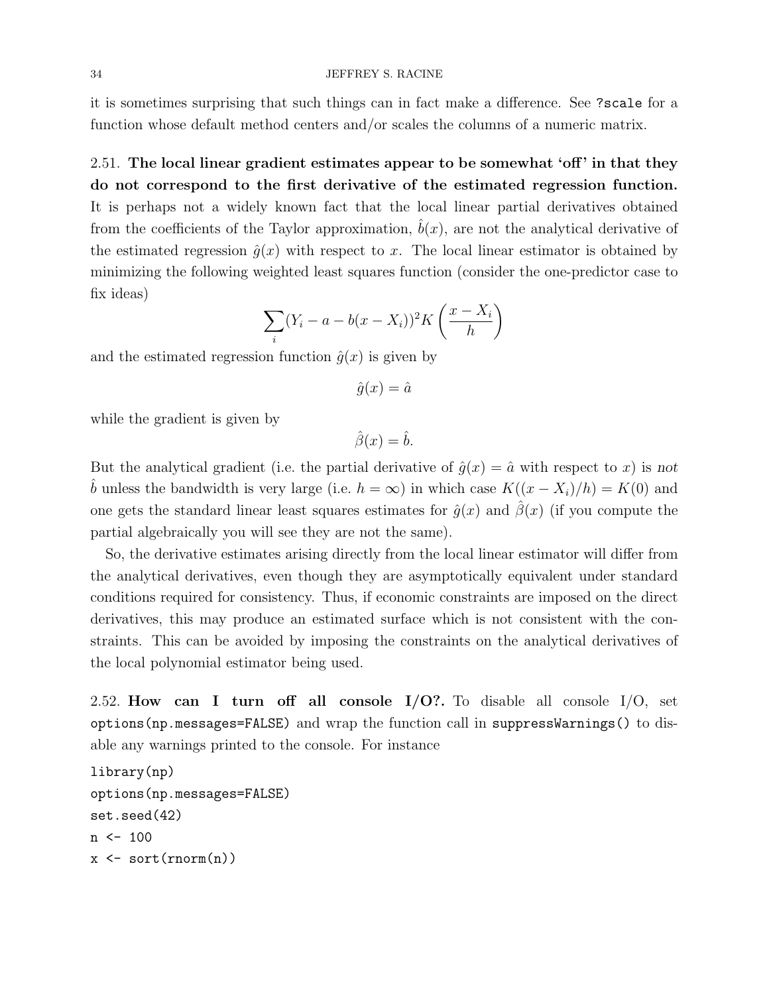it is sometimes surprising that such things can in fact make a difference. See ?scale for a function whose default method centers and/or scales the columns of a numeric matrix.

<span id="page-33-0"></span>2.51. The local linear gradient estimates appear to be somewhat 'off ' in that they do not correspond to the first derivative of the estimated regression function. It is perhaps not a widely known fact that the local linear partial derivatives obtained from the coefficients of the Taylor approximation,  $\hat{b}(x)$ , are not the analytical derivative of the estimated regression  $\hat{q}(x)$  with respect to x. The local linear estimator is obtained by minimizing the following weighted least squares function (consider the one-predictor case to fix ideas)

$$
\sum_{i} (Y_i - a - b(x - X_i))^2 K\left(\frac{x - X_i}{h}\right)
$$

and the estimated regression function  $\hat{g}(x)$  is given by

$$
\hat{g}(x) = \hat{a}
$$

while the gradient is given by

$$
\hat{\beta}(x) = \hat{b}.
$$

But the analytical gradient (i.e. the partial derivative of  $\hat{g}(x) = \hat{a}$  with respect to x) is not *b* unless the bandwidth is very large (i.e.  $h = \infty$ ) in which case  $K((x - X_i)/h) = K(0)$  and one gets the standard linear least squares estimates for  $\hat{g}(x)$  and  $\hat{\beta}(x)$  (if you compute the partial algebraically you will see they are not the same).

So, the derivative estimates arising directly from the local linear estimator will differ from the analytical derivatives, even though they are asymptotically equivalent under standard conditions required for consistency. Thus, if economic constraints are imposed on the direct derivatives, this may produce an estimated surface which is not consistent with the constraints. This can be avoided by imposing the constraints on the analytical derivatives of the local polynomial estimator being used.

<span id="page-33-1"></span>2.52. How can I turn off all console  $I/O$ ?. To disable all console  $I/O$ , set options(np.messages=FALSE) and wrap the function call in suppressWarnings() to disable any warnings printed to the console. For instance

library(np) options(np.messages=FALSE) set.seed(42)  $n < - 100$  $x \leftarrow sort(rnorm(n))$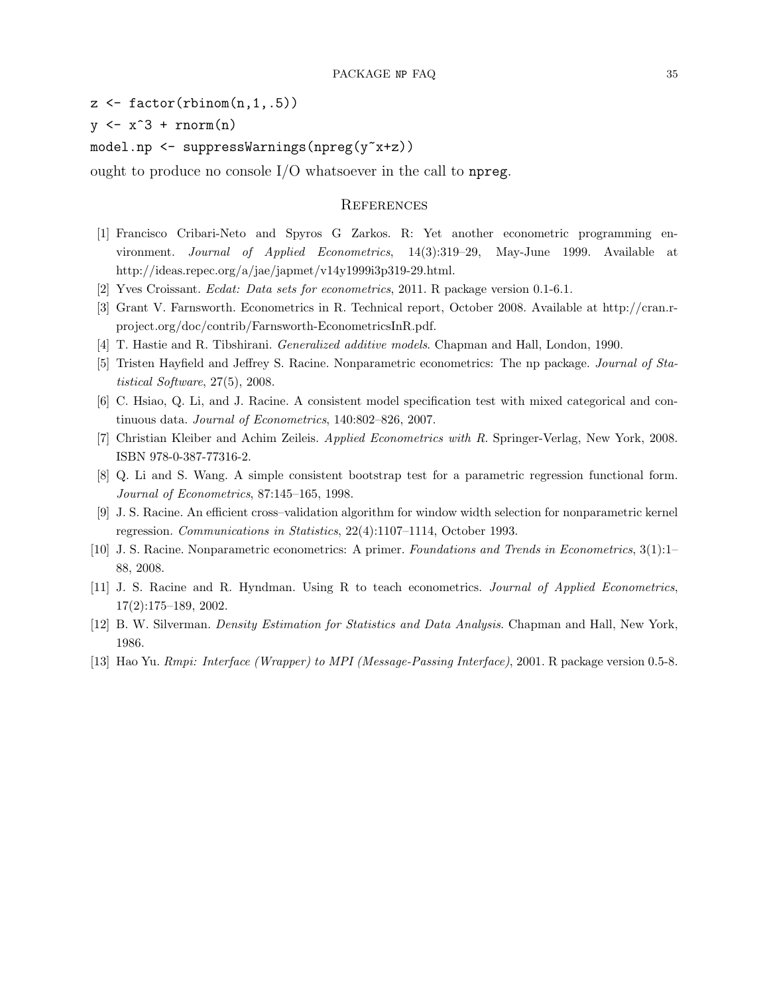$z \leftarrow$  factor(rbinom(n,1,.5))

 $y \leftarrow x^3 + \text{rnorm}(n)$ 

### model.np <- suppressWarnings(npreg(y~x+z))

ought to produce no console I/O whatsoever in the call to npreg.

#### <span id="page-34-1"></span>**REFERENCES**

- <span id="page-34-2"></span>[1] Francisco Cribari-Neto and Spyros G Zarkos. R: Yet another econometric programming environment. Journal of Applied Econometrics, 14(3):319–29, May-June 1999. Available at http://ideas.repec.org/a/jae/japmet/v14y1999i3p319-29.html.
- <span id="page-34-5"></span>[2] Yves Croissant. Ecdat: Data sets for econometrics, 2011. R package version 0.1-6.1.
- <span id="page-34-4"></span>[3] Grant V. Farnsworth. Econometrics in R. Technical report, October 2008. Available at http://cran.rproject.org/doc/contrib/Farnsworth-EconometricsInR.pdf.
- <span id="page-34-13"></span>[4] T. Hastie and R. Tibshirani. Generalized additive models. Chapman and Hall, London, 1990.
- <span id="page-34-7"></span>[5] Tristen Hayfield and Jeffrey S. Racine. Nonparametric econometrics: The np package. Journal of Statistical Software, 27(5), 2008.
- <span id="page-34-0"></span>[6] C. Hsiao, Q. Li, and J. Racine. A consistent model specification test with mixed categorical and continuous data. Journal of Econometrics, 140:802–826, 2007.
- <span id="page-34-6"></span>[7] Christian Kleiber and Achim Zeileis. Applied Econometrics with R. Springer-Verlag, New York, 2008. ISBN 978-0-387-77316-2.
- <span id="page-34-12"></span>[8] Q. Li and S. Wang. A simple consistent bootstrap test for a parametric regression functional form. Journal of Econometrics, 87:145–165, 1998.
- <span id="page-34-10"></span>[9] J. S. Racine. An efficient cross–validation algorithm for window width selection for nonparametric kernel regression. Communications in Statistics, 22(4):1107–1114, October 1993.
- <span id="page-34-8"></span>[10] J. S. Racine. Nonparametric econometrics: A primer. Foundations and Trends in Econometrics, 3(1):1– 88, 2008.
- <span id="page-34-3"></span>[11] J. S. Racine and R. Hyndman. Using R to teach econometrics. Journal of Applied Econometrics, 17(2):175–189, 2002.
- <span id="page-34-11"></span>[12] B. W. Silverman. Density Estimation for Statistics and Data Analysis. Chapman and Hall, New York, 1986.
- <span id="page-34-9"></span>[13] Hao Yu. Rmpi: Interface (Wrapper) to MPI (Message-Passing Interface), 2001. R package version 0.5-8.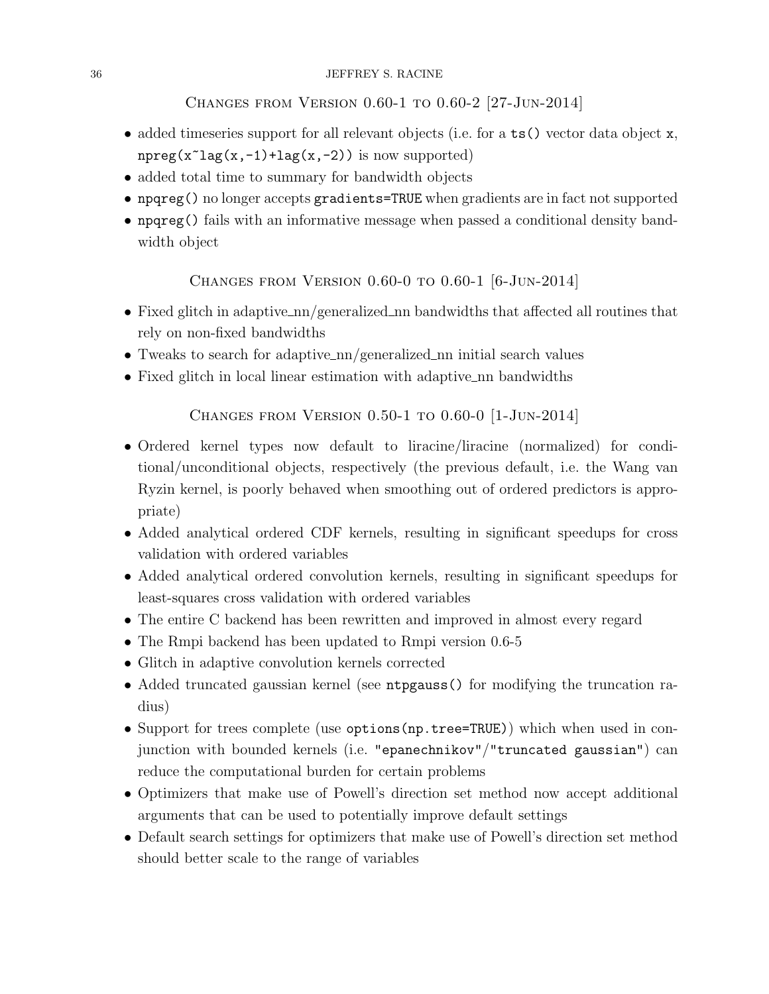<span id="page-35-0"></span>Changes from Version 0.60-1 to 0.60-2 [27-Jun-2014]

- added timeseries support for all relevant objects (i.e. for a ts() vector data object x,  $npreg(x^lag(x,-1)+lag(x,-2))$  is now supported)
- added total time to summary for bandwidth objects
- npqreg() no longer accepts gradients=TRUE when gradients are in fact not supported
- npqreg() fails with an informative message when passed a conditional density bandwidth object

<span id="page-35-1"></span>CHANGES FROM VERSION  $0.60-0$  to  $0.60-1$  [6-Jun-2014]

- Fixed glitch in adaptive  $\text{nn/generalized}_n$  handwidths that affected all routines that rely on non-fixed bandwidths
- Tweaks to search for adaptive nn/generalized nn initial search values
- Fixed glitch in local linear estimation with adaptive nn bandwidths

<span id="page-35-2"></span>Changes from Version 0.50-1 to 0.60-0 [1-Jun-2014]

- Ordered kernel types now default to liracine/liracine (normalized) for conditional/unconditional objects, respectively (the previous default, i.e. the Wang van Ryzin kernel, is poorly behaved when smoothing out of ordered predictors is appropriate)
- Added analytical ordered CDF kernels, resulting in significant speedups for cross validation with ordered variables
- Added analytical ordered convolution kernels, resulting in significant speedups for least-squares cross validation with ordered variables
- The entire C backend has been rewritten and improved in almost every regard
- The Rmpi backend has been updated to Rmpi version 0.6-5
- Glitch in adaptive convolution kernels corrected
- Added truncated gaussian kernel (see ntpgauss() for modifying the truncation radius)
- Support for trees complete (use options (np.tree=TRUE)) which when used in conjunction with bounded kernels (i.e. "epanechnikov"/"truncated gaussian") can reduce the computational burden for certain problems
- Optimizers that make use of Powell's direction set method now accept additional arguments that can be used to potentially improve default settings
- Default search settings for optimizers that make use of Powell's direction set method should better scale to the range of variables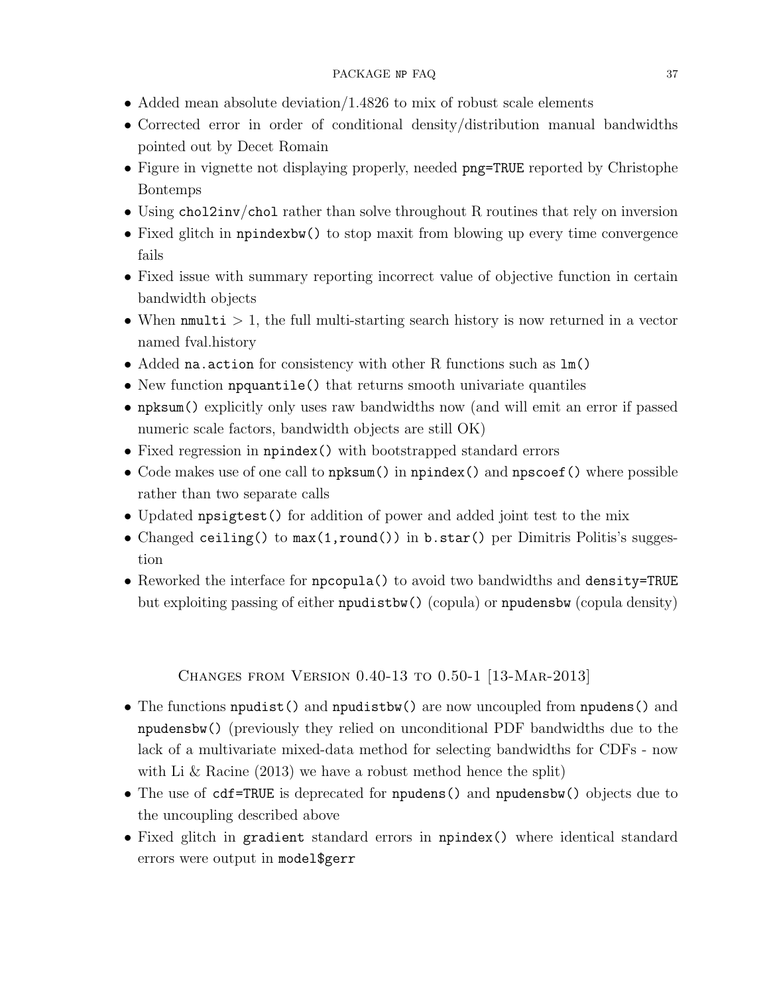- Added mean absolute deviation/1.4826 to mix of robust scale elements
- Corrected error in order of conditional density/distribution manual bandwidths pointed out by Decet Romain
- Figure in vignette not displaying properly, needed png=TRUE reported by Christophe Bontemps
- Using chol2inv/chol rather than solve throughout R routines that rely on inversion
- Fixed glitch in npindexbw() to stop maxit from blowing up every time convergence fails
- Fixed issue with summary reporting incorrect value of objective function in certain bandwidth objects
- When  $\text{mmulti} > 1$ , the full multi-starting search history is now returned in a vector named fval.history
- Added na.action for consistency with other R functions such as lm()
- New function npquantile() that returns smooth univariate quantiles
- npksum() explicitly only uses raw bandwidths now (and will emit an error if passed numeric scale factors, bandwidth objects are still OK)
- Fixed regression in npindex() with bootstrapped standard errors
- Code makes use of one call to npksum() in npindex() and npscoef() where possible rather than two separate calls
- Updated npsigtest() for addition of power and added joint test to the mix
- Changed ceiling() to max(1,round()) in b.star() per Dimitris Politis's suggestion
- Reworked the interface for npcopula() to avoid two bandwidths and density=TRUE but exploiting passing of either npudistbw() (copula) or npudensbw (copula density)

## <span id="page-36-0"></span>Changes from Version 0.40-13 to 0.50-1 [13-Mar-2013]

- The functions npudist() and npudistbw() are now uncoupled from npudens() and npudensbw() (previously they relied on unconditional PDF bandwidths due to the lack of a multivariate mixed-data method for selecting bandwidths for CDFs - now with Li & Racine  $(2013)$  we have a robust method hence the split)
- The use of cdf=TRUE is deprecated for npudens() and npudensbw() objects due to the uncoupling described above
- Fixed glitch in gradient standard errors in npindex() where identical standard errors were output in model\$gerr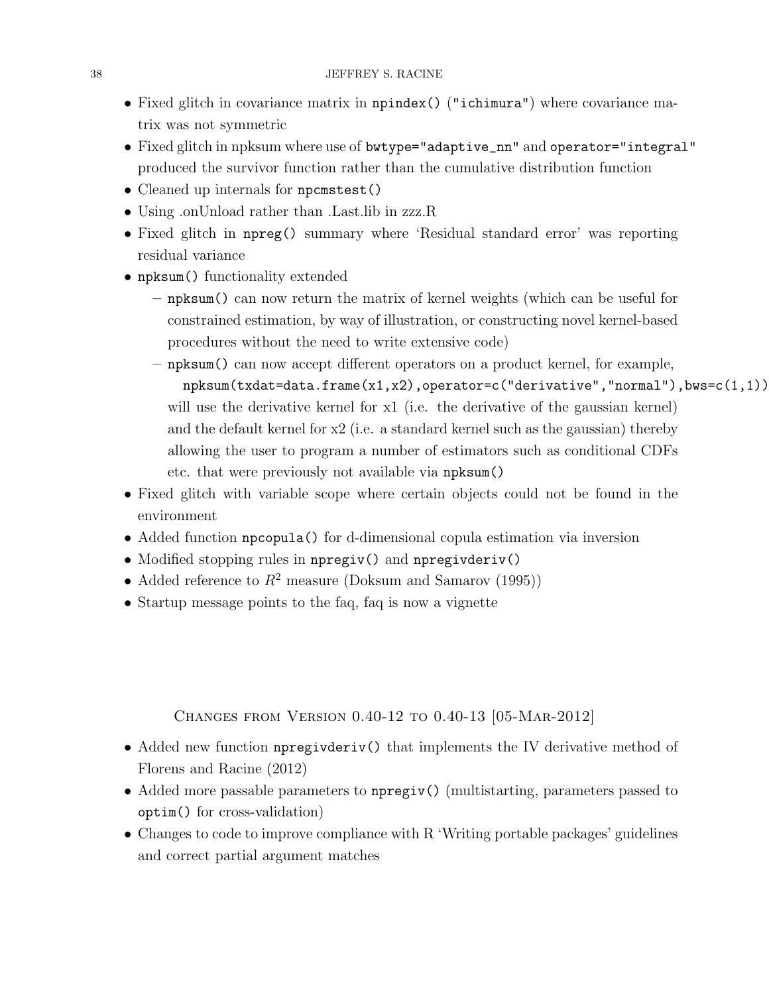- Fixed glitch in covariance matrix in npindex() ("ichimura") where covariance matrix was not symmetric
- Fixed glitch in npksum where use of bwtype="adaptive\_nn" and operator="integral" produced the survivor function rather than the cumulative distribution function
- Cleaned up internals for npcmstest()
- Using .on Unload rather than . Last. lib in zzz. R
- Fixed glitch in npreg() summary where 'Residual standard error' was reporting residual variance
- npksum() functionality extended
	- npksum() can now return the matrix of kernel weights (which can be useful for constrained estimation, by way of illustration, or constructing novel kernel-based procedures without the need to write extensive code)
	- npksum() can now accept different operators on a product kernel, for example,
		- npksum(txdat=data.frame(x1,x2),operator=c("derivative","normal"),bws=c(1,1)) will use the derivative kernel for x1 (i.e. the derivative of the gaussian kernel) and the default kernel for x2 (i.e. a standard kernel such as the gaussian) thereby allowing the user to program a number of estimators such as conditional CDFs etc. that were previously not available via npksum()
- Fixed glitch with variable scope where certain objects could not be found in the environment
- Added function npcopula() for d-dimensional copula estimation via inversion
- Modified stopping rules in npregiv() and npregivderiv()
- Added reference to  $R^2$  measure (Doksum and Samarov (1995))
- Startup message points to the faq, faq is now a vignette

<span id="page-37-0"></span>Changes from Version 0.40-12 to 0.40-13 [05-Mar-2012]

- Added new function npregivderiv() that implements the IV derivative method of Florens and Racine (2012)
- Added more passable parameters to npregiv() (multistarting, parameters passed to optim() for cross-validation)
- Changes to code to improve compliance with R 'Writing portable packages' guidelines and correct partial argument matches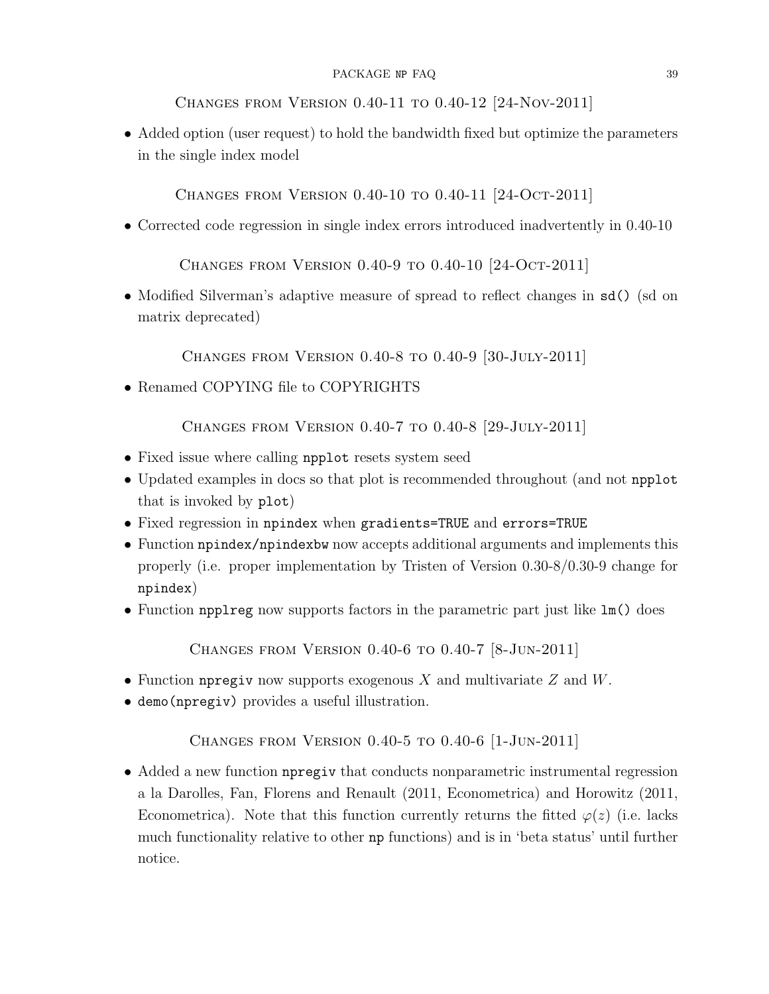<span id="page-38-0"></span>Changes from Version 0.40-11 to 0.40-12 [24-Nov-2011]

• Added option (user request) to hold the bandwidth fixed but optimize the parameters in the single index model

<span id="page-38-1"></span>Changes from Version 0.40-10 to 0.40-11 [24-Oct-2011]

• Corrected code regression in single index errors introduced inadvertently in 0.40-10

<span id="page-38-2"></span>Changes from Version 0.40-9 to 0.40-10 [24-Oct-2011]

• Modified Silverman's adaptive measure of spread to reflect changes in sd() (sd on matrix deprecated)

<span id="page-38-3"></span>Changes from Version 0.40-8 to 0.40-9 [30-July-2011]

• Renamed COPYING file to COPYRIGHTS

<span id="page-38-4"></span>Changes from Version 0.40-7 to 0.40-8 [29-July-2011]

- Fixed issue where calling npplot resets system seed
- Updated examples in docs so that plot is recommended throughout (and not npplot that is invoked by plot)
- Fixed regression in npindex when gradients=TRUE and errors=TRUE
- Function npindex/npindexbw now accepts additional arguments and implements this properly (i.e. proper implementation by Tristen of Version 0.30-8/0.30-9 change for npindex)
- Function npplreg now supports factors in the parametric part just like lm() does

<span id="page-38-5"></span>Changes from Version 0.40-6 to 0.40-7 [8-Jun-2011]

- Function netries from supports exogenous X and multivariate  $Z$  and  $W$ .
- demo(npregiv) provides a useful illustration.

<span id="page-38-6"></span>Changes from Version 0.40-5 to 0.40-6 [1-Jun-2011]

• Added a new function npregiv that conducts nonparametric instrumental regression a la Darolles, Fan, Florens and Renault (2011, Econometrica) and Horowitz (2011, Econometrica). Note that this function currently returns the fitted  $\varphi(z)$  (i.e. lacks much functionality relative to other np functions) and is in 'beta status' until further notice.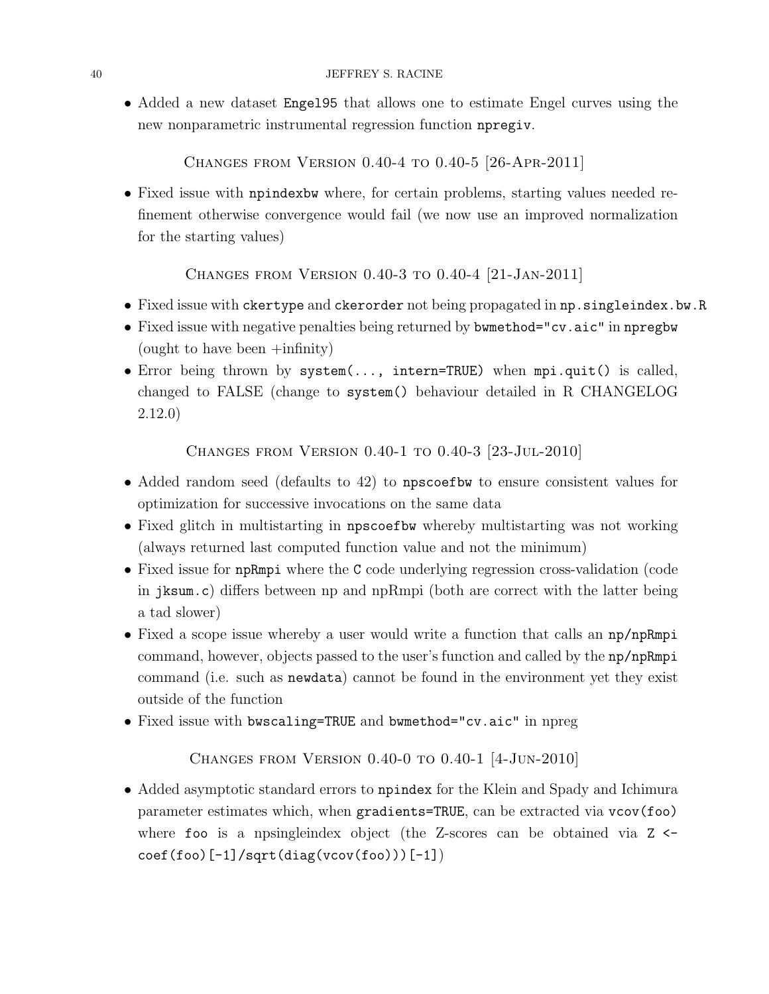• Added a new dataset Engel95 that allows one to estimate Engel curves using the new nonparametric instrumental regression function npregiv.

<span id="page-39-0"></span>Changes from Version 0.40-4 to 0.40-5 [26-Apr-2011]

• Fixed issue with npindexbw where, for certain problems, starting values needed refinement otherwise convergence would fail (we now use an improved normalization for the starting values)

<span id="page-39-1"></span>Changes from Version 0.40-3 to 0.40-4 [21-Jan-2011]

- Fixed issue with ckertype and ckerorder not being propagated in np.singleindex.bw.R
- Fixed issue with negative penalties being returned by bwmethod="cv.aic" in npregbw (ought to have been +infinity)
- Error being thrown by system(..., intern=TRUE) when mpi.quit() is called, changed to FALSE (change to system() behaviour detailed in R CHANGELOG 2.12.0)

<span id="page-39-2"></span>Changes from Version 0.40-1 to 0.40-3 [23-Jul-2010]

- Added random seed (defaults to 42) to npscoefbw to ensure consistent values for optimization for successive invocations on the same data
- Fixed glitch in multistarting in npscoefbw whereby multistarting was not working (always returned last computed function value and not the minimum)
- Fixed issue for npRmpi where the C code underlying regression cross-validation (code in jksum.c) differs between np and npRmpi (both are correct with the latter being a tad slower)
- Fixed a scope issue whereby a user would write a function that calls an np/npRmpi command, however, objects passed to the user's function and called by the np/npRmpi command (i.e. such as newdata) cannot be found in the environment yet they exist outside of the function
- Fixed issue with bwscaling=TRUE and bwmethod="cv.aic" in npreg

<span id="page-39-3"></span>Changes from Version 0.40-0 to 0.40-1 [4-Jun-2010]

• Added asymptotic standard errors to npindex for the Klein and Spady and Ichimura parameter estimates which, when gradients=TRUE, can be extracted via vcov(foo) where foo is a npsingleindex object (the Z-scores can be obtained via  $Z \leftarrow$  $\text{coeff}(\text{foo})[-1]/\text{sqrt}(\text{diag}(v\text{cov}(\text{foo})))[-1])$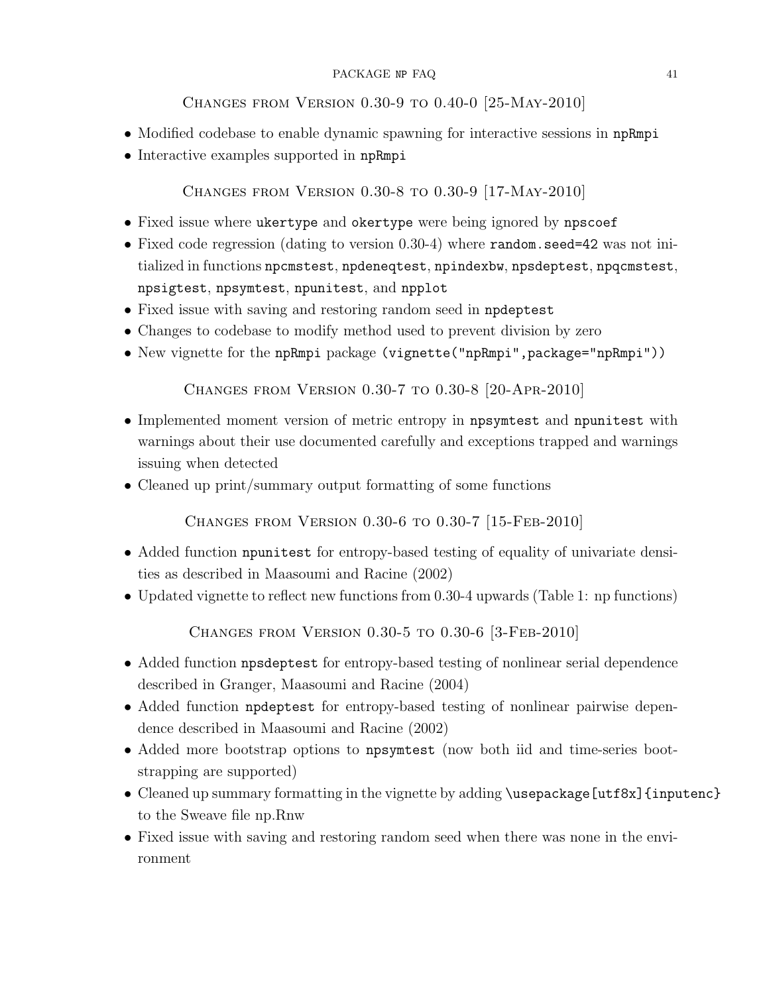## <span id="page-40-0"></span>Changes from Version 0.30-9 to 0.40-0 [25-May-2010]

- Modified codebase to enable dynamic spawning for interactive sessions in npRmpi
- Interactive examples supported in npRmpi

<span id="page-40-1"></span>Changes from Version 0.30-8 to 0.30-9 [17-May-2010]

- Fixed issue where ukertype and okertype were being ignored by npscoef
- Fixed code regression (dating to version 0.30-4) where random.seed=42 was not initialized in functions npcmstest, npdeneqtest, npindexbw, npsdeptest, npqcmstest, npsigtest, npsymtest, npunitest, and npplot
- Fixed issue with saving and restoring random seed in npdeptest
- Changes to codebase to modify method used to prevent division by zero
- New vignette for the npRmpi package (vignette("npRmpi",package="npRmpi"))

<span id="page-40-2"></span>Changes from Version 0.30-7 to 0.30-8 [20-Apr-2010]

- Implemented moment version of metric entropy in npsymtest and npunitest with warnings about their use documented carefully and exceptions trapped and warnings issuing when detected
- Cleaned up print/summary output formatting of some functions

<span id="page-40-3"></span>Changes from Version 0.30-6 to 0.30-7 [15-Feb-2010]

- Added function npunitest for entropy-based testing of equality of univariate densities as described in Maasoumi and Racine (2002)
- Updated vignette to reflect new functions from 0.30-4 upwards (Table 1: np functions)

<span id="page-40-4"></span>Changes from Version 0.30-5 to 0.30-6 [3-Feb-2010]

- Added function npsdeptest for entropy-based testing of nonlinear serial dependence described in Granger, Maasoumi and Racine (2004)
- Added function npdeptest for entropy-based testing of nonlinear pairwise dependence described in Maasoumi and Racine (2002)
- Added more bootstrap options to npsymtest (now both iid and time-series bootstrapping are supported)
- Cleaned up summary formatting in the vignette by adding \usepackage[utf8x] {inputenc} to the Sweave file np.Rnw
- Fixed issue with saving and restoring random seed when there was none in the environment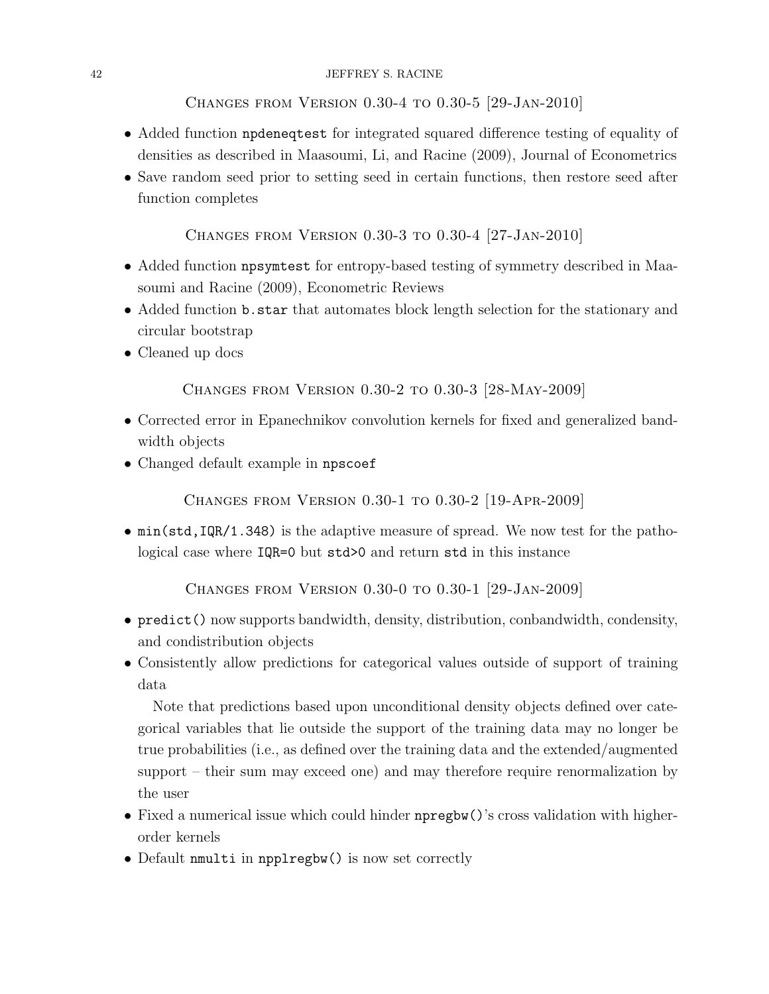#### 42 JEFFREY S. RACINE

<span id="page-41-0"></span>Changes from Version 0.30-4 to 0.30-5 [29-Jan-2010]

- Added function npdeneqtest for integrated squared difference testing of equality of densities as described in Maasoumi, Li, and Racine (2009), Journal of Econometrics
- Save random seed prior to setting seed in certain functions, then restore seed after function completes

<span id="page-41-1"></span>Changes from Version 0.30-3 to 0.30-4 [27-Jan-2010]

- Added function npsymtest for entropy-based testing of symmetry described in Maasoumi and Racine (2009), Econometric Reviews
- Added function b.star that automates block length selection for the stationary and circular bootstrap
- Cleaned up docs

<span id="page-41-2"></span>Changes from Version 0.30-2 to 0.30-3 [28-May-2009]

- Corrected error in Epanechnikov convolution kernels for fixed and generalized bandwidth objects
- Changed default example in npscoef

<span id="page-41-3"></span>Changes from Version 0.30-1 to 0.30-2 [19-Apr-2009]

• min(std,IQR/1.348) is the adaptive measure of spread. We now test for the pathological case where IQR=0 but std>0 and return std in this instance

<span id="page-41-4"></span>Changes from Version 0.30-0 to 0.30-1 [29-Jan-2009]

- predict() now supports bandwidth, density, distribution, conbandwidth, condensity, and condistribution objects
- Consistently allow predictions for categorical values outside of support of training data

Note that predictions based upon unconditional density objects defined over categorical variables that lie outside the support of the training data may no longer be true probabilities (i.e., as defined over the training data and the extended/augmented support – their sum may exceed one) and may therefore require renormalization by the user

- Fixed a numerical issue which could hinder npregbw()'s cross validation with higherorder kernels
- Default nmulti in npplregbw() is now set correctly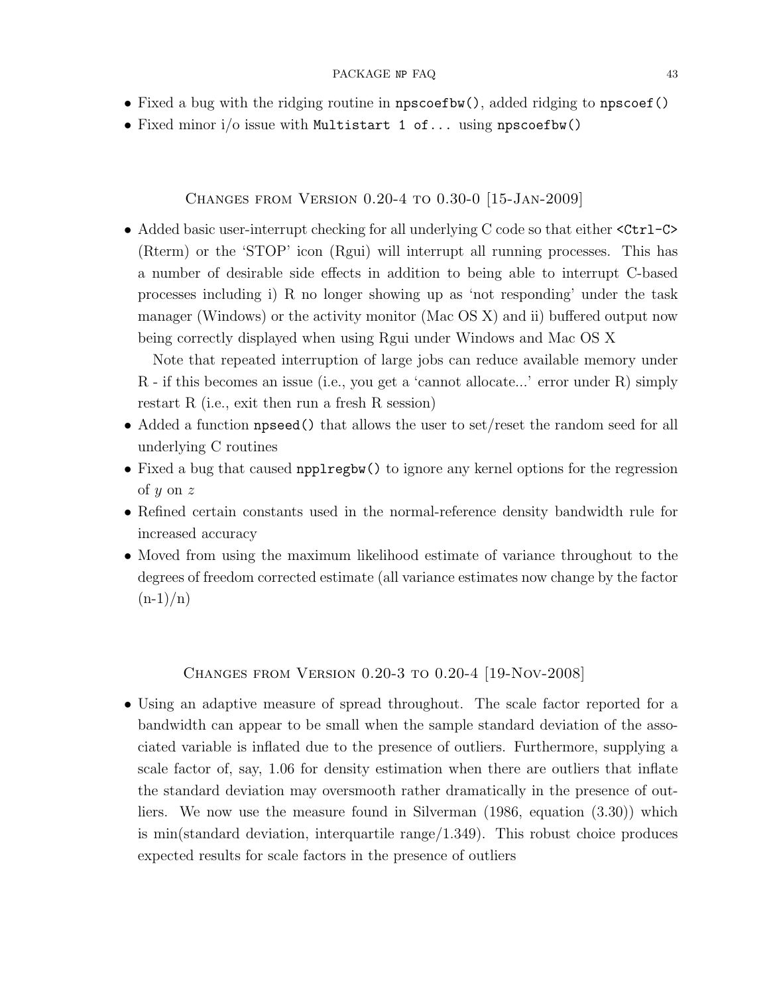- Fixed a bug with the ridging routine in npscoefbw(), added ridging to npscoef()
- Fixed minor i/o issue with Multistart 1 of... using npscoefbw()

## <span id="page-42-0"></span>Changes from Version 0.20-4 to 0.30-0 [15-Jan-2009]

• Added basic user-interrupt checking for all underlying C code so that either  $\leq$ Ctrl-C> (Rterm) or the 'STOP' icon (Rgui) will interrupt all running processes. This has a number of desirable side effects in addition to being able to interrupt C-based processes including i) R no longer showing up as 'not responding' under the task manager (Windows) or the activity monitor (Mac OS X) and ii) buffered output now being correctly displayed when using Rgui under Windows and Mac OS X

Note that repeated interruption of large jobs can reduce available memory under R - if this becomes an issue (i.e., you get a 'cannot allocate...' error under R) simply restart R (i.e., exit then run a fresh R session)

- Added a function **npseed**() that allows the user to set/reset the random seed for all underlying C routines
- Fixed a bug that caused npplregbw() to ignore any kernel options for the regression of y on z
- Refined certain constants used in the normal-reference density bandwidth rule for increased accuracy
- Moved from using the maximum likelihood estimate of variance throughout to the degrees of freedom corrected estimate (all variance estimates now change by the factor  $(n-1)/n$

### <span id="page-42-1"></span>Changes from Version 0.20-3 to 0.20-4 [19-Nov-2008]

• Using an adaptive measure of spread throughout. The scale factor reported for a bandwidth can appear to be small when the sample standard deviation of the associated variable is inflated due to the presence of outliers. Furthermore, supplying a scale factor of, say, 1.06 for density estimation when there are outliers that inflate the standard deviation may oversmooth rather dramatically in the presence of outliers. We now use the measure found in Silverman (1986, equation (3.30)) which is min(standard deviation, interquartile range/1.349). This robust choice produces expected results for scale factors in the presence of outliers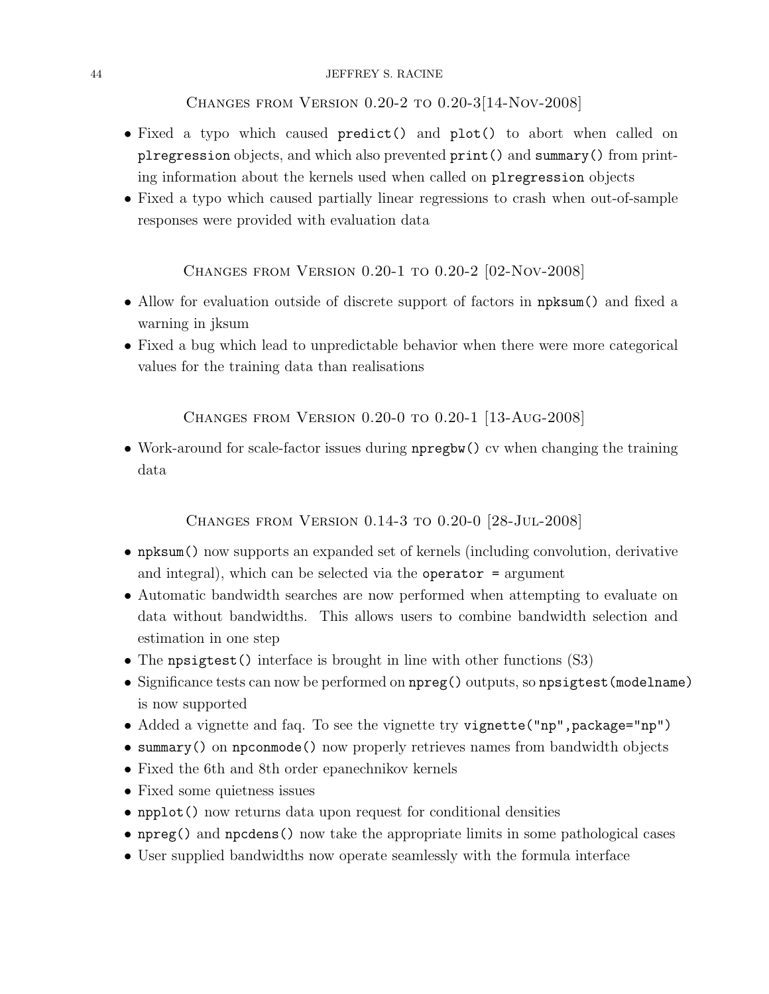#### 44 JEFFREY S. RACINE

<span id="page-43-0"></span>Changes from Version 0.20-2 to 0.20-3[14-Nov-2008]

- Fixed a typo which caused predict() and plot() to abort when called on plregression objects, and which also prevented print() and summary() from printing information about the kernels used when called on plregression objects
- Fixed a typo which caused partially linear regressions to crash when out-of-sample responses were provided with evaluation data

<span id="page-43-1"></span>Changes from Version 0.20-1 to 0.20-2 [02-Nov-2008]

- Allow for evaluation outside of discrete support of factors in npksum() and fixed a warning in jksum
- Fixed a bug which lead to unpredictable behavior when there were more categorical values for the training data than realisations

<span id="page-43-2"></span>Changes from Version 0.20-0 to 0.20-1 [13-Aug-2008]

• Work-around for scale-factor issues during npregbw() cv when changing the training data

<span id="page-43-3"></span>Changes from Version 0.14-3 to 0.20-0 [28-Jul-2008]

- npksum() now supports an expanded set of kernels (including convolution, derivative and integral), which can be selected via the operator  $=$  argument
- Automatic bandwidth searches are now performed when attempting to evaluate on data without bandwidths. This allows users to combine bandwidth selection and estimation in one step
- The npsigtest () interface is brought in line with other functions (S3)
- Significance tests can now be performed on npreg() outputs, so npsigtest(modelname) is now supported
- Added a vignette and faq. To see the vignette try vignette ("np", package="np")
- summary() on npconmode() now properly retrieves names from bandwidth objects
- Fixed the 6th and 8th order epanechnikov kernels
- Fixed some quietness issues
- npplot() now returns data upon request for conditional densities
- npreg() and npcdens() now take the appropriate limits in some pathological cases
- User supplied bandwidths now operate seamlessly with the formula interface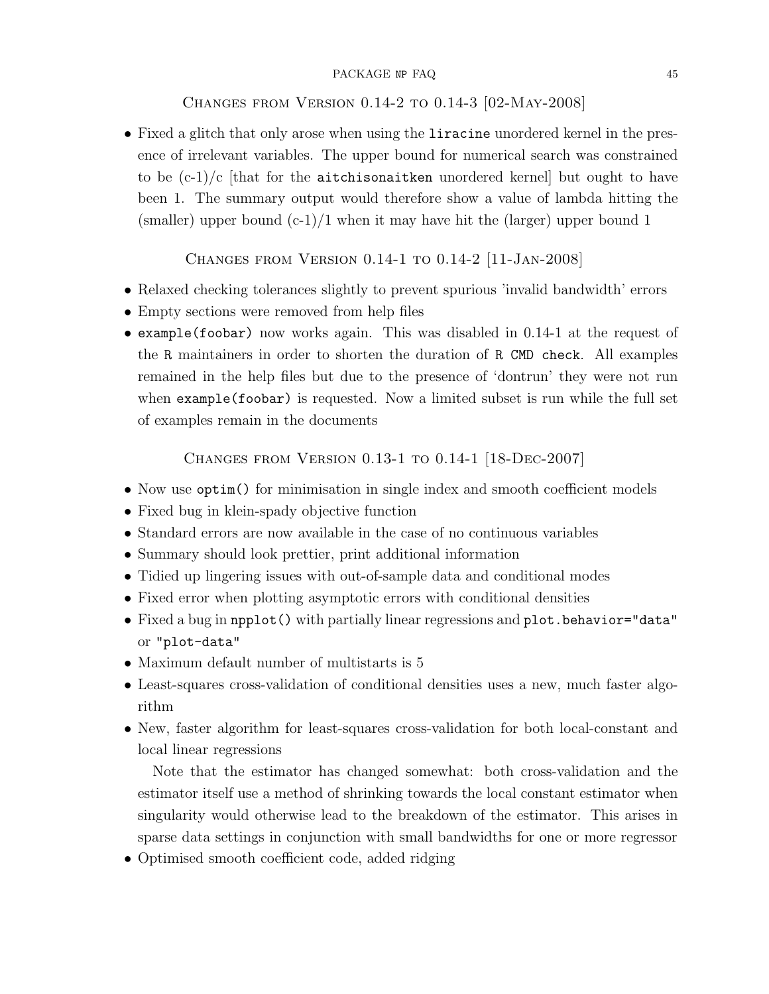## <span id="page-44-0"></span>Changes from Version 0.14-2 to 0.14-3 [02-May-2008]

• Fixed a glitch that only arose when using the liracine unordered kernel in the presence of irrelevant variables. The upper bound for numerical search was constrained to be  $(c-1)/c$  [that for the aitchisonaitken unordered kernel] but ought to have been 1. The summary output would therefore show a value of lambda hitting the (smaller) upper bound  $(c-1)/1$  when it may have hit the (larger) upper bound 1

<span id="page-44-1"></span>Changes from Version 0.14-1 to 0.14-2 [11-Jan-2008]

- Relaxed checking tolerances slightly to prevent spurious 'invalid bandwidth' errors
- Empty sections were removed from help files
- example(foobar) now works again. This was disabled in 0.14-1 at the request of the R maintainers in order to shorten the duration of R CMD check. All examples remained in the help files but due to the presence of 'dontrun' they were not run when example(foobar) is requested. Now a limited subset is run while the full set of examples remain in the documents

<span id="page-44-2"></span>Changes from Version 0.13-1 to 0.14-1 [18-Dec-2007]

- Now use  $optim()$  for minimisation in single index and smooth coefficient models
- Fixed bug in klein-spady objective function
- Standard errors are now available in the case of no continuous variables
- Summary should look prettier, print additional information
- Tidied up lingering issues with out-of-sample data and conditional modes
- Fixed error when plotting asymptotic errors with conditional densities
- Fixed a bug in npplot() with partially linear regressions and plot.behavior="data" or "plot-data"
- Maximum default number of multistarts is 5
- Least-squares cross-validation of conditional densities uses a new, much faster algorithm
- New, faster algorithm for least-squares cross-validation for both local-constant and local linear regressions

Note that the estimator has changed somewhat: both cross-validation and the estimator itself use a method of shrinking towards the local constant estimator when singularity would otherwise lead to the breakdown of the estimator. This arises in sparse data settings in conjunction with small bandwidths for one or more regressor

• Optimised smooth coefficient code, added ridging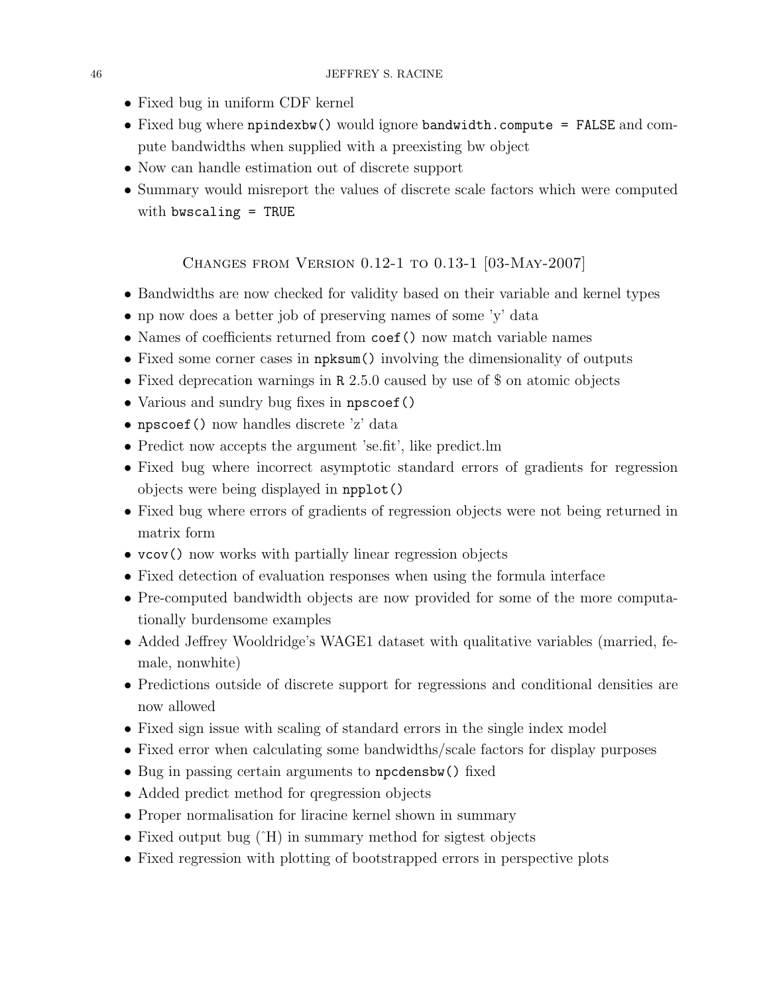- Fixed bug in uniform CDF kernel
- Fixed bug where npindexbw() would ignore bandwidth.compute = FALSE and compute bandwidths when supplied with a preexisting bw object
- Now can handle estimation out of discrete support
- Summary would misreport the values of discrete scale factors which were computed with bwscaling = TRUE

## <span id="page-45-0"></span>Changes from Version 0.12-1 to 0.13-1 [03-May-2007]

- Bandwidths are now checked for validity based on their variable and kernel types
- np now does a better job of preserving names of some 'y' data
- Names of coefficients returned from coef () now match variable names
- Fixed some corner cases in npksum() involving the dimensionality of outputs
- Fixed deprecation warnings in R 2.5.0 caused by use of \$ on atomic objects
- Various and sundry bug fixes in npscoef()
- npscoef() now handles discrete 'z' data
- Predict now accepts the argument 'se.fit', like predict.lm
- Fixed bug where incorrect asymptotic standard errors of gradients for regression objects were being displayed in npplot()
- Fixed bug where errors of gradients of regression objects were not being returned in matrix form
- vcov() now works with partially linear regression objects
- Fixed detection of evaluation responses when using the formula interface
- Pre-computed bandwidth objects are now provided for some of the more computationally burdensome examples
- Added Jeffrey Wooldridge's WAGE1 dataset with qualitative variables (married, female, nonwhite)
- Predictions outside of discrete support for regressions and conditional densities are now allowed
- Fixed sign issue with scaling of standard errors in the single index model
- Fixed error when calculating some bandwidths/scale factors for display purposes
- Bug in passing certain arguments to npcdensbw() fixed
- Added predict method for qregression objects
- Proper normalisation for liracine kernel shown in summary
- Fixed output bug  $(H)$  in summary method for sigtest objects
- Fixed regression with plotting of bootstrapped errors in perspective plots